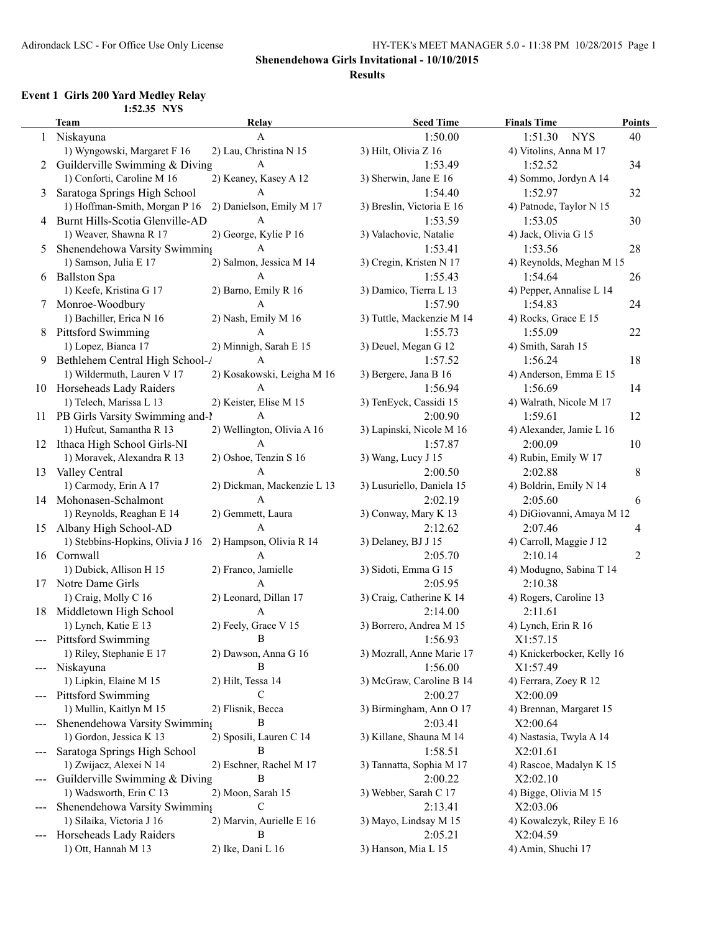### **Shenendehowa Girls Invitational - 10/10/2015**

#### **Results**

## **Event 1 Girls 200 Yard Medley Relay**

|        | 1:52.35 NYS                        |                            |                           |                            |                |
|--------|------------------------------------|----------------------------|---------------------------|----------------------------|----------------|
|        | <b>Team</b>                        | Relay                      | <b>Seed Time</b>          | <b>Finals Time</b>         | <b>Points</b>  |
| 1      | Niskayuna                          | A                          | 1:50.00                   | 1:51.30<br><b>NYS</b>      | 40             |
|        | 1) Wyngowski, Margaret F 16        | 2) Lau, Christina N 15     | 3) Hilt, Olivia Z 16      | 4) Vitolins, Anna M 17     |                |
|        | 2 Guilderville Swimming & Diving   | A                          | 1:53.49                   | 1:52.52                    | 34             |
|        | 1) Conforti, Caroline M 16         | 2) Keaney, Kasey A 12      | 3) Sherwin, Jane E 16     | 4) Sommo, Jordyn A 14      |                |
| 3      | Saratoga Springs High School       | A                          | 1:54.40                   | 1:52.97                    | 32             |
|        | 1) Hoffman-Smith, Morgan P 16      | 2) Danielson, Emily M 17   | 3) Breslin, Victoria E 16 | 4) Patnode, Taylor N 15    |                |
|        | 4 Burnt Hills-Scotia Glenville-AD  | A                          | 1:53.59                   | 1:53.05                    | 30             |
|        | 1) Weaver, Shawna R 17             | 2) George, Kylie P 16      | 3) Valachovic, Natalie    | 4) Jack, Olivia G 15       |                |
| 5      | Shenendehowa Varsity Swimming      | A                          | 1:53.41                   | 1:53.56                    | 28             |
|        | 1) Samson, Julia E 17              | 2) Salmon, Jessica M 14    | 3) Cregin, Kristen N 17   | 4) Reynolds, Meghan M 15   |                |
|        | 6 Ballston Spa                     | A                          | 1:55.43                   | 1:54.64                    | 26             |
|        | 1) Keefe, Kristina G 17            | 2) Barno, Emily R 16       | 3) Damico, Tierra L 13    | 4) Pepper, Annalise L 14   |                |
| $\tau$ | Monroe-Woodbury                    | A                          | 1:57.90                   | 1:54.83                    | 24             |
|        | 1) Bachiller, Erica N 16           | 2) Nash, Emily M 16        | 3) Tuttle, Mackenzie M 14 | 4) Rocks, Grace E 15       |                |
| 8      | <b>Pittsford Swimming</b>          | A                          | 1:55.73                   | 1:55.09                    | 22             |
|        | 1) Lopez, Bianca 17                | 2) Minnigh, Sarah E 15     | 3) Deuel, Megan G 12      | 4) Smith, Sarah 15         |                |
|        | 9 Bethlehem Central High School-/  | A                          |                           | 1:56.24                    | 18             |
|        |                                    |                            | 1:57.52                   |                            |                |
|        | 1) Wildermuth, Lauren V 17         | 2) Kosakowski, Leigha M 16 | 3) Bergere, Jana B 16     | 4) Anderson, Emma E 15     |                |
|        | 10 Horseheads Lady Raiders         | A                          | 1:56.94                   | 1:56.69                    | 14             |
|        | 1) Telech, Marissa L 13            | 2) Keister, Elise M 15     | 3) TenEyck, Cassidi 15    | 4) Walrath, Nicole M 17    |                |
|        | 11 PB Girls Varsity Swimming and-1 | A                          | 2:00.90                   | 1:59.61                    | 12             |
|        | 1) Hufcut, Samantha R 13           | 2) Wellington, Olivia A 16 | 3) Lapinski, Nicole M 16  | 4) Alexander, Jamie L 16   |                |
|        | 12 Ithaca High School Girls-NI     | A                          | 1:57.87                   | 2:00.09                    | 10             |
|        | 1) Moravek, Alexandra R 13         | 2) Oshoe, Tenzin S 16      | 3) Wang, Lucy J 15        | 4) Rubin, Emily W 17       |                |
| 13     | Valley Central                     | A                          | 2:00.50                   | 2:02.88                    | 8              |
|        | 1) Carmody, Erin A 17              | 2) Dickman, Mackenzie L 13 | 3) Lusuriello, Daniela 15 | 4) Boldrin, Emily N 14     |                |
|        | 14 Mohonasen-Schalmont             | $\mathbf{A}$               | 2:02.19                   | 2:05.60                    | 6              |
|        | 1) Reynolds, Reaghan E 14          | 2) Gemmett, Laura          | 3) Conway, Mary K 13      | 4) DiGiovanni, Amaya M 12  |                |
| 15     | Albany High School-AD              | $\mathbf{A}$               | 2:12.62                   | 2:07.46                    | 4              |
|        | 1) Stebbins-Hopkins, Olivia J 16   | 2) Hampson, Olivia R 14    | 3) Delaney, BJ J 15       | 4) Carroll, Maggie J 12    |                |
|        | 16 Cornwall                        | A                          | 2:05.70                   | 2:10.14                    | $\overline{2}$ |
|        | 1) Dubick, Allison H 15            | 2) Franco, Jamielle        | 3) Sidoti, Emma G 15      | 4) Modugno, Sabina T 14    |                |
| 17     | Notre Dame Girls                   | A                          | 2:05.95                   | 2:10.38                    |                |
|        | 1) Craig, Molly C 16               | 2) Leonard, Dillan 17      | 3) Craig, Catherine K 14  | 4) Rogers, Caroline 13     |                |
| 18     | Middletown High School             | A                          | 2:14.00                   | 2:11.61                    |                |
|        | 1) Lynch, Katie E 13               | 2) Feely, Grace V 15       | 3) Borrero, Andrea M 15   | 4) Lynch, Erin R 16        |                |
|        | <b>Pittsford Swimming</b>          | B                          | 1:56.93                   | X1:57.15                   |                |
|        | 1) Riley, Stephanie E 17           | 2) Dawson, Anna G 16       | 3) Mozrall, Anne Marie 17 | 4) Knickerbocker, Kelly 16 |                |
| $---$  | Niskayuna                          | В                          | 1:56.00                   | X1:57.49                   |                |
|        | 1) Lipkin, Elaine M 15             | 2) Hilt, Tessa 14          | 3) McGraw, Caroline B 14  | 4) Ferrara, Zoey R 12      |                |
|        | Pittsford Swimming                 | С                          | 2:00.27                   | X2:00.09                   |                |
|        | 1) Mullin, Kaitlyn M 15            | 2) Flisnik, Becca          | 3) Birmingham, Ann O 17   | 4) Brennan, Margaret 15    |                |
|        | Shenendehowa Varsity Swimming      | Β                          | 2:03.41                   | X2:00.64                   |                |
|        | 1) Gordon, Jessica K 13            | 2) Sposili, Lauren C 14    | 3) Killane, Shauna M 14   | 4) Nastasia, Twyla A 14    |                |
|        | Saratoga Springs High School       | В                          | 1:58.51                   | X2:01.61                   |                |
|        | 1) Zwijacz, Alexei N 14            | 2) Eschner, Rachel M 17    | 3) Tannatta, Sophia M 17  | 4) Rascoe, Madalyn K 15    |                |
|        | Guilderville Swimming & Diving     | В                          | 2:00.22                   | X2:02.10                   |                |
|        | 1) Wadsworth, Erin C 13            | 2) Moon, Sarah 15          | 3) Webber, Sarah C 17     | 4) Bigge, Olivia M 15      |                |
|        | Shenendehowa Varsity Swimming      | C                          | 2:13.41                   | X2:03.06                   |                |
|        | 1) Silaika, Victoria J 16          | 2) Marvin, Aurielle E 16   | 3) Mayo, Lindsay M 15     | 4) Kowalczyk, Riley E 16   |                |
|        |                                    | В                          |                           | X2:04.59                   |                |
|        | Horseheads Lady Raiders            |                            | 2:05.21                   |                            |                |
|        | 1) Ott, Hannah M 13                | 2) Ike, Dani L 16          | 3) Hanson, Mia L 15       | 4) Amin, Shuchi 17         |                |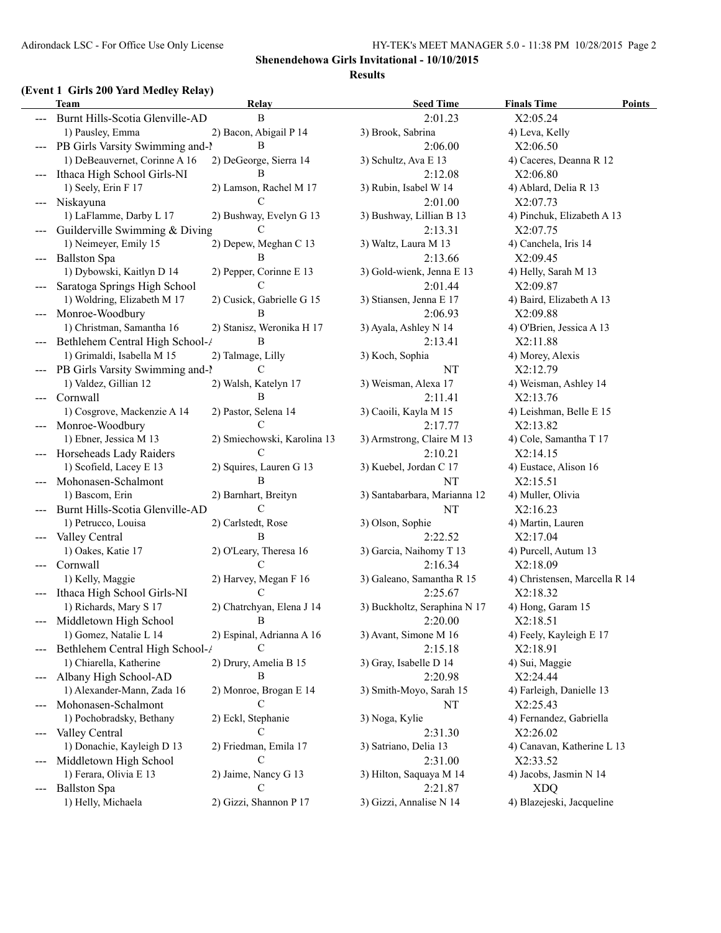### **(Event 1 Girls 200 Yard Medley Relay)**

|                     | $\frac{1}{2}$<br>Team                        | Relay                          | <b>Seed Time</b>             | <b>Finals Time</b><br><b>Points</b> |
|---------------------|----------------------------------------------|--------------------------------|------------------------------|-------------------------------------|
|                     | Burnt Hills-Scotia Glenville-AD              | B                              | 2:01.23                      | X2:05.24                            |
|                     | 1) Pausley, Emma                             | 2) Bacon, Abigail P 14         | 3) Brook, Sabrina            | 4) Leva, Kelly                      |
|                     | --- PB Girls Varsity Swimming and-1          | B                              | 2:06.00                      | X2:06.50                            |
|                     | 1) DeBeauvernet, Corinne A 16                | 2) DeGeorge, Sierra 14         | 3) Schultz, Ava E 13         | 4) Caceres, Deanna R 12             |
|                     | Ithaca High School Girls-NI                  | B                              | 2:12.08                      | X2:06.80                            |
|                     | 1) Seely, Erin F 17                          | 2) Lamson, Rachel M 17         | 3) Rubin, Isabel W 14        | 4) Ablard, Delia R 13               |
|                     | --- Niskayuna                                | C                              | 2:01.00                      | X2:07.73                            |
|                     | 1) LaFlamme, Darby L 17                      | 2) Bushway, Evelyn G 13        | 3) Bushway, Lillian B 13     | 4) Pinchuk, Elizabeth A 13          |
|                     | Guilderville Swimming & Diving               | C                              | 2:13.31                      | X2:07.75                            |
|                     | 1) Neimeyer, Emily 15                        | 2) Depew, Meghan C 13          | 3) Waltz, Laura M 13         | 4) Canchela, Iris 14                |
| $---$               | <b>Ballston Spa</b>                          | В                              | 2:13.66                      | X2:09.45                            |
|                     | 1) Dybowski, Kaitlyn D 14                    | 2) Pepper, Corinne E 13        | 3) Gold-wienk, Jenna E 13    | 4) Helly, Sarah M 13                |
|                     | Saratoga Springs High School                 | C                              | 2:01.44                      | X2:09.87                            |
|                     | 1) Woldring, Elizabeth M 17                  | 2) Cusick, Gabrielle G 15      | 3) Stiansen, Jenna E 17      | 4) Baird, Elizabeth A 13            |
|                     |                                              | B                              |                              |                                     |
| ---                 | Monroe-Woodbury<br>1) Christman, Samantha 16 |                                | 2:06.93                      | X2:09.88                            |
|                     |                                              | 2) Stanisz, Weronika H 17<br>B | 3) Ayala, Ashley N 14        | 4) O'Brien, Jessica A 13            |
|                     | Bethlehem Central High School-/              |                                | 2:13.41                      | X2:11.88                            |
|                     | 1) Grimaldi, Isabella M 15                   | 2) Talmage, Lilly              | 3) Koch, Sophia              | 4) Morey, Alexis                    |
|                     | PB Girls Varsity Swimming and-1              | C                              | NT                           | X2:12.79                            |
|                     | 1) Valdez, Gillian 12                        | 2) Walsh, Katelyn 17           | 3) Weisman, Alexa 17         | 4) Weisman, Ashley 14               |
|                     | Cornwall                                     | B                              | 2:11.41                      | X2:13.76                            |
|                     | 1) Cosgrove, Mackenzie A 14                  | 2) Pastor, Selena 14           | 3) Caoili, Kayla M 15        | 4) Leishman, Belle E 15             |
|                     | Monroe-Woodbury                              | C                              | 2:17.77                      | X2:13.82                            |
|                     | 1) Ebner, Jessica M 13                       | 2) Smiechowski, Karolina 13    | 3) Armstrong, Claire M 13    | 4) Cole, Samantha T 17              |
|                     | Horseheads Lady Raiders                      | C                              | 2:10.21                      | X2:14.15                            |
|                     | 1) Scofield, Lacey E 13                      | 2) Squires, Lauren G 13        | 3) Kuebel, Jordan C 17       | 4) Eustace, Alison 16               |
|                     | Mohonasen-Schalmont                          | B                              | NT                           | X2:15.51                            |
|                     | 1) Bascom, Erin                              | 2) Barnhart, Breityn           | 3) Santabarbara, Marianna 12 | 4) Muller, Olivia                   |
|                     | Burnt Hills-Scotia Glenville-AD              | C                              | NT                           | X2:16.23                            |
|                     | 1) Petrucco, Louisa                          | 2) Carlstedt, Rose             | 3) Olson, Sophie             | 4) Martin, Lauren                   |
| $---$               | Valley Central                               | B                              | 2:22.52                      | X2:17.04                            |
|                     | 1) Oakes, Katie 17                           | 2) O'Leary, Theresa 16         | 3) Garcia, Naihomy T 13      | 4) Purcell, Autum 13                |
| $---$               | Cornwall                                     | C                              | 2:16.34                      | X2:18.09                            |
|                     | 1) Kelly, Maggie                             | 2) Harvey, Megan F 16          | 3) Galeano, Samantha R 15    | 4) Christensen, Marcella R 14       |
|                     | Ithaca High School Girls-NI                  | C                              | 2:25.67                      | X2:18.32                            |
|                     | 1) Richards, Mary S 17                       | 2) Chatrchyan, Elena J 14      | 3) Buckholtz, Seraphina N 17 | 4) Hong, Garam 15                   |
|                     | Middletown High School                       | $\overline{B}$                 | 2:20.00                      | X2:18.51                            |
|                     | 1) Gomez, Natalie L 14                       | 2) Espinal, Adrianna A 16      | 3) Avant, Simone M 16        | 4) Feely, Kayleigh E 17             |
|                     | Bethlehem Central High School-/              | C                              | 2:15.18                      | X2:18.91                            |
|                     | 1) Chiarella, Katherine                      | 2) Drury, Amelia B 15          | 3) Gray, Isabelle D 14       | 4) Sui, Maggie                      |
| ---                 | Albany High School-AD                        | В                              | 2:20.98                      | X2:24.44                            |
|                     | 1) Alexander-Mann, Zada 16                   | 2) Monroe, Brogan E 14         | 3) Smith-Moyo, Sarah 15      | 4) Farleigh, Danielle 13            |
| $---$               | Mohonasen-Schalmont                          | C                              | NT                           | X2:25.43                            |
|                     | 1) Pochobradsky, Bethany                     | 2) Eckl, Stephanie             | 3) Noga, Kylie               | 4) Fernandez, Gabriella             |
| ---                 | Valley Central                               | C                              | 2:31.30                      | X2:26.02                            |
|                     | 1) Donachie, Kayleigh D 13                   | 2) Friedman, Emila 17          | 3) Satriano, Delia 13        | 4) Canavan, Katherine L 13          |
|                     | Middletown High School                       | C                              | 2:31.00                      | X2:33.52                            |
|                     | 1) Ferara, Olivia E 13                       | 2) Jaime, Nancy G 13           | 3) Hilton, Saquaya M 14      | 4) Jacobs, Jasmin N 14              |
| $\qquad \qquad - -$ | <b>Ballston Spa</b>                          | C                              | 2:21.87                      | <b>XDQ</b>                          |
|                     | 1) Helly, Michaela                           | 2) Gizzi, Shannon P 17         | 3) Gizzi, Annalise N 14      | 4) Blazejeski, Jacqueline           |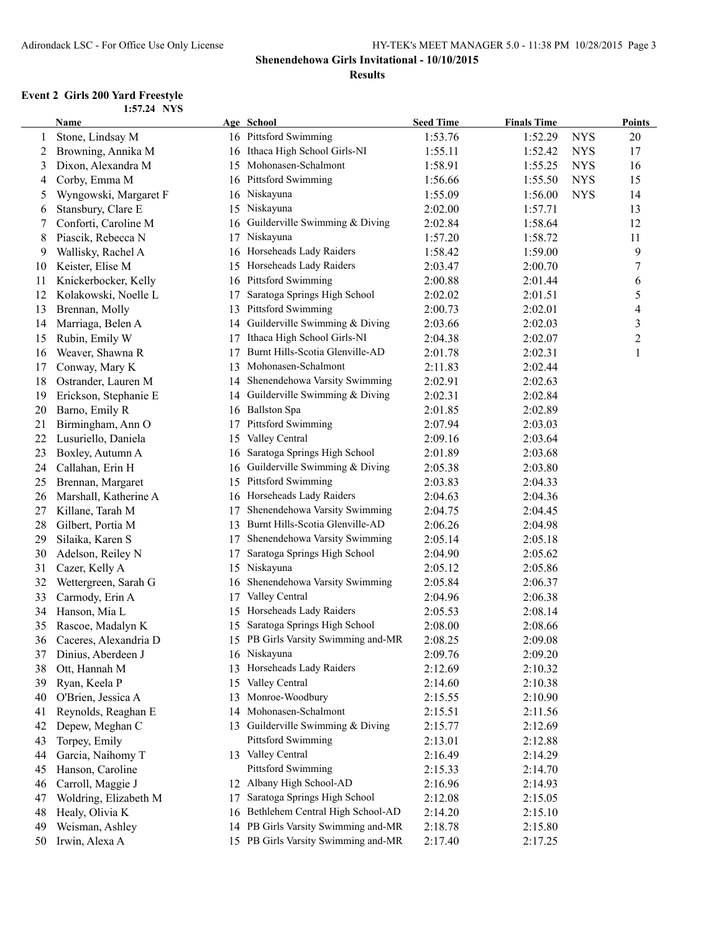### **Shenendehowa Girls Invitational - 10/10/2015**

#### **Results**

#### **Event 2 Girls 200 Yard Freestyle 1:57.24 NYS**

|    | Name                  |    | Age School                          | <b>Seed Time</b> | <b>Finals Time</b> |            | <b>Points</b>  |
|----|-----------------------|----|-------------------------------------|------------------|--------------------|------------|----------------|
| 1  | Stone, Lindsay M      |    | 16 Pittsford Swimming               | 1:53.76          | 1:52.29            | <b>NYS</b> | 20             |
| 2  | Browning, Annika M    | 16 | Ithaca High School Girls-NI         | 1:55.11          | 1:52.42            | <b>NYS</b> | 17             |
| 3  | Dixon, Alexandra M    | 15 | Mohonasen-Schalmont                 | 1:58.91          | 1:55.25            | <b>NYS</b> | 16             |
| 4  | Corby, Emma M         | 16 | Pittsford Swimming                  | 1:56.66          | 1:55.50            | <b>NYS</b> | 15             |
| 5  | Wyngowski, Margaret F |    | 16 Niskayuna                        | 1:55.09          | 1:56.00            | <b>NYS</b> | 14             |
| 6  | Stansbury, Clare E    | 15 | Niskayuna                           | 2:02.00          | 1:57.71            |            | 13             |
| 7  | Conforti, Caroline M  | 16 | Guilderville Swimming & Diving      | 2:02.84          | 1:58.64            |            | 12             |
| 8  | Piascik, Rebecca N    | 17 | Niskayuna                           | 1:57.20          | 1:58.72            |            | 11             |
| 9  | Wallisky, Rachel A    | 16 | Horseheads Lady Raiders             | 1:58.42          | 1:59.00            |            | 9              |
| 10 | Keister, Elise M      | 15 | Horseheads Lady Raiders             | 2:03.47          | 2:00.70            |            | 7              |
| 11 | Knickerbocker, Kelly  | 16 | Pittsford Swimming                  | 2:00.88          | 2:01.44            |            | 6              |
| 12 | Kolakowski, Noelle L  | 17 | Saratoga Springs High School        | 2:02.02          | 2:01.51            |            | 5              |
| 13 | Brennan, Molly        | 13 | Pittsford Swimming                  | 2:00.73          | 2:02.01            |            | $\overline{4}$ |
| 14 | Marriaga, Belen A     | 14 | Guilderville Swimming & Diving      | 2:03.66          | 2:02.03            |            | $\mathfrak{Z}$ |
| 15 | Rubin, Emily W        | 17 | Ithaca High School Girls-NI         | 2:04.38          | 2:02.07            |            | $\overline{c}$ |
| 16 | Weaver, Shawna R      | 17 | Burnt Hills-Scotia Glenville-AD     | 2:01.78          | 2:02.31            |            | $\mathbf{1}$   |
| 17 | Conway, Mary K        | 13 | Mohonasen-Schalmont                 | 2:11.83          | 2:02.44            |            |                |
| 18 | Ostrander, Lauren M   | 14 | Shenendehowa Varsity Swimming       | 2:02.91          | 2:02.63            |            |                |
| 19 | Erickson, Stephanie E | 14 | Guilderville Swimming & Diving      | 2:02.31          | 2:02.84            |            |                |
| 20 | Barno, Emily R        |    | 16 Ballston Spa                     | 2:01.85          | 2:02.89            |            |                |
| 21 | Birmingham, Ann O     | 17 | Pittsford Swimming                  | 2:07.94          | 2:03.03            |            |                |
| 22 | Lusuriello, Daniela   | 15 | Valley Central                      | 2:09.16          | 2:03.64            |            |                |
| 23 | Boxley, Autumn A      |    | Saratoga Springs High School        | 2:01.89          |                    |            |                |
| 24 | Callahan, Erin H      | 16 | Guilderville Swimming & Diving      |                  | 2:03.68            |            |                |
|    |                       | 16 | Pittsford Swimming                  | 2:05.38          | 2:03.80            |            |                |
| 25 | Brennan, Margaret     | 15 | Horseheads Lady Raiders             | 2:03.83          | 2:04.33            |            |                |
| 26 | Marshall, Katherine A | 16 |                                     | 2:04.63          | 2:04.36            |            |                |
| 27 | Killane, Tarah M      | 17 | Shenendehowa Varsity Swimming       | 2:04.75          | 2:04.45            |            |                |
| 28 | Gilbert, Portia M     | 13 | Burnt Hills-Scotia Glenville-AD     | 2:06.26          | 2:04.98            |            |                |
| 29 | Silaika, Karen S      | 17 | Shenendehowa Varsity Swimming       | 2:05.14          | 2:05.18            |            |                |
| 30 | Adelson, Reiley N     | 17 | Saratoga Springs High School        | 2:04.90          | 2:05.62            |            |                |
| 31 | Cazer, Kelly A        |    | 15 Niskayuna                        | 2:05.12          | 2:05.86            |            |                |
| 32 | Wettergreen, Sarah G  | 16 | Shenendehowa Varsity Swimming       | 2:05.84          | 2:06.37            |            |                |
| 33 | Carmody, Erin A       | 17 | Valley Central                      | 2:04.96          | 2:06.38            |            |                |
| 34 | Hanson, Mia L         | 15 | Horseheads Lady Raiders             | 2:05.53          | 2:08.14            |            |                |
| 35 | Rascoe, Madalyn K     |    | 15 Saratoga Springs High School     | 2:08.00          | 2:08.66            |            |                |
| 36 | Caceres, Alexandria D |    | 15 PB Girls Varsity Swimming and-MR | 2:08.25          | 2:09.08            |            |                |
| 37 | Dinius, Aberdeen J    |    | 16 Niskayuna                        | 2:09.76          | 2:09.20            |            |                |
| 38 | Ott, Hannah M         |    | 13 Horseheads Lady Raiders          | 2:12.69          | 2:10.32            |            |                |
| 39 | Ryan, Keela P         | 15 | Valley Central                      | 2:14.60          | 2:10.38            |            |                |
| 40 | O'Brien, Jessica A    | 13 | Monroe-Woodbury                     | 2:15.55          | 2:10.90            |            |                |
| 41 | Reynolds, Reaghan E   |    | 14 Mohonasen-Schalmont              | 2:15.51          | 2:11.56            |            |                |
| 42 | Depew, Meghan C       | 13 | Guilderville Swimming & Diving      | 2:15.77          | 2:12.69            |            |                |
| 43 | Torpey, Emily         |    | Pittsford Swimming                  | 2:13.01          | 2:12.88            |            |                |
| 44 | Garcia, Naihomy T     |    | 13 Valley Central                   | 2:16.49          | 2:14.29            |            |                |
| 45 | Hanson, Caroline      |    | Pittsford Swimming                  | 2:15.33          | 2:14.70            |            |                |
| 46 | Carroll, Maggie J     |    | 12 Albany High School-AD            | 2:16.96          | 2:14.93            |            |                |
| 47 | Woldring, Elizabeth M | 17 | Saratoga Springs High School        | 2:12.08          | 2:15.05            |            |                |
| 48 | Healy, Olivia K       |    | 16 Bethlehem Central High School-AD | 2:14.20          | 2:15.10            |            |                |
| 49 | Weisman, Ashley       |    | 14 PB Girls Varsity Swimming and-MR | 2:18.78          | 2:15.80            |            |                |
| 50 | Irwin, Alexa A        |    | 15 PB Girls Varsity Swimming and-MR | 2:17.40          | 2:17.25            |            |                |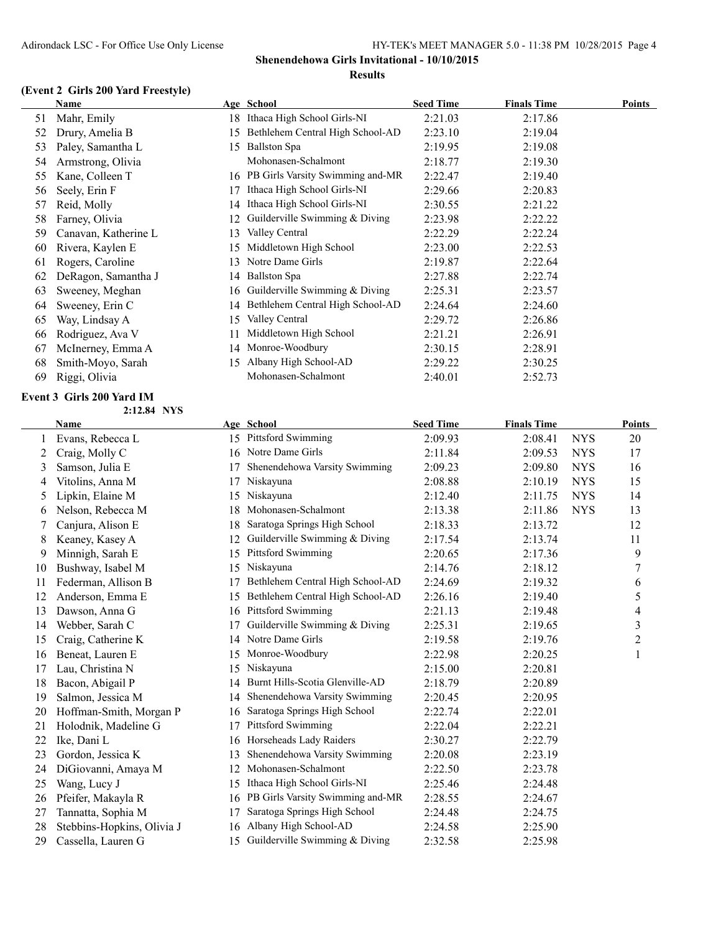### **(Event 2 Girls 200 Yard Freestyle)**

|    | Name                 |     | Age School                          | <b>Seed Time</b> | <b>Finals Time</b> | <b>Points</b> |
|----|----------------------|-----|-------------------------------------|------------------|--------------------|---------------|
| 51 | Mahr, Emily          | 18. | Ithaca High School Girls-NI         | 2:21.03          | 2:17.86            |               |
| 52 | Drury, Amelia B      | 15  | Bethlehem Central High School-AD    | 2:23.10          | 2:19.04            |               |
| 53 | Paley, Samantha L    | 15. | Ballston Spa                        | 2:19.95          | 2:19.08            |               |
| 54 | Armstrong, Olivia    |     | Mohonasen-Schalmont                 | 2:18.77          | 2:19.30            |               |
| 55 | Kane, Colleen T      |     | 16 PB Girls Varsity Swimming and-MR | 2:22.47          | 2:19.40            |               |
| 56 | Seely, Erin F        |     | Ithaca High School Girls-NI         | 2:29.66          | 2:20.83            |               |
| 57 | Reid, Molly          | 14  | Ithaca High School Girls-NI         | 2:30.55          | 2:21.22            |               |
| 58 | Farney, Olivia       | 12  | Guilderville Swimming & Diving      | 2:23.98          | 2:22.22            |               |
| 59 | Canavan, Katherine L | 13  | Valley Central                      | 2:22.29          | 2:22.24            |               |
| 60 | Rivera, Kaylen E     | 15  | Middletown High School              | 2:23.00          | 2:22.53            |               |
| 61 | Rogers, Caroline     | 13  | Notre Dame Girls                    | 2:19.87          | 2:22.64            |               |
| 62 | DeRagon, Samantha J  | 14  | Ballston Spa                        | 2:27.88          | 2:22.74            |               |
| 63 | Sweeney, Meghan      | 16. | Guilderville Swimming & Diving      | 2:25.31          | 2:23.57            |               |
| 64 | Sweeney, Erin C      | 14  | Bethlehem Central High School-AD    | 2:24.64          | 2:24.60            |               |
| 65 | Way, Lindsay A       | 15. | Valley Central                      | 2:29.72          | 2:26.86            |               |
| 66 | Rodriguez, Ava V     | 11. | Middletown High School              | 2:21.21          | 2:26.91            |               |
| 67 | McInerney, Emma A    | 14  | Monroe-Woodbury                     | 2:30.15          | 2:28.91            |               |
| 68 | Smith-Moyo, Sarah    | 15  | Albany High School-AD               | 2:29.22          | 2:30.25            |               |
| 69 | Riggi, Olivia        |     | Mohonasen-Schalmont                 | 2:40.01          | 2:52.73            |               |

### **Event 3 Girls 200 Yard IM**

**2:12.84 NYS**

|    | <b>Name</b>                |    | Age School                       | <b>Seed Time</b> | <b>Finals Time</b> |            | <b>Points</b>  |
|----|----------------------------|----|----------------------------------|------------------|--------------------|------------|----------------|
|    | Evans, Rebecca L           | 15 | Pittsford Swimming               | 2:09.93          | 2:08.41            | <b>NYS</b> | 20             |
| 2  | Craig, Molly C             | 16 | Notre Dame Girls                 | 2:11.84          | 2:09.53            | <b>NYS</b> | 17             |
| 3  | Samson, Julia E            | 17 | Shenendehowa Varsity Swimming    | 2:09.23          | 2:09.80            | <b>NYS</b> | 16             |
| 4  | Vitolins, Anna M           | 17 | Niskayuna                        | 2:08.88          | 2:10.19            | <b>NYS</b> | 15             |
| 5  | Lipkin, Elaine M           | 15 | Niskayuna                        | 2:12.40          | 2:11.75            | <b>NYS</b> | 14             |
| 6  | Nelson, Rebecca M          | 18 | Mohonasen-Schalmont              | 2:13.38          | 2:11.86            | <b>NYS</b> | 13             |
| 7  | Canjura, Alison E          | 18 | Saratoga Springs High School     | 2:18.33          | 2:13.72            |            | 12             |
| 8  | Keaney, Kasey A            | 12 | Guilderville Swimming & Diving   | 2:17.54          | 2:13.74            |            | 11             |
| 9  | Minnigh, Sarah E           | 15 | <b>Pittsford Swimming</b>        | 2:20.65          | 2:17.36            |            | 9              |
| 10 | Bushway, Isabel M          | 15 | Niskayuna                        | 2:14.76          | 2:18.12            |            | 7              |
| 11 | Federman, Allison B        | 17 | Bethlehem Central High School-AD | 2:24.69          | 2:19.32            |            | 6              |
| 12 | Anderson, Emma E           | 15 | Bethlehem Central High School-AD | 2:26.16          | 2:19.40            |            | 5              |
| 13 | Dawson, Anna G             | 16 | <b>Pittsford Swimming</b>        | 2:21.13          | 2:19.48            |            | 4              |
| 14 | Webber, Sarah C            | 17 | Guilderville Swimming & Diving   | 2:25.31          | 2:19.65            |            | $\mathfrak{Z}$ |
| 15 | Craig, Catherine K         | 14 | Notre Dame Girls                 | 2:19.58          | 2:19.76            |            | $\overline{c}$ |
| 16 | Beneat, Lauren E           | 15 | Monroe-Woodbury                  | 2:22.98          | 2:20.25            |            |                |
| 17 | Lau, Christina N           | 15 | Niskayuna                        | 2:15.00          | 2:20.81            |            |                |
| 18 | Bacon, Abigail P           | 14 | Burnt Hills-Scotia Glenville-AD  | 2:18.79          | 2:20.89            |            |                |
| 19 | Salmon, Jessica M          | 14 | Shenendehowa Varsity Swimming    | 2:20.45          | 2:20.95            |            |                |
| 20 | Hoffman-Smith, Morgan P    | 16 | Saratoga Springs High School     | 2:22.74          | 2:22.01            |            |                |
| 21 | Holodnik, Madeline G       | 17 | <b>Pittsford Swimming</b>        | 2:22.04          | 2:22.21            |            |                |
| 22 | Ike, Dani L                | 16 | Horseheads Lady Raiders          | 2:30.27          | 2:22.79            |            |                |
| 23 | Gordon, Jessica K          | 13 | Shenendehowa Varsity Swimming    | 2:20.08          | 2:23.19            |            |                |
| 24 | DiGiovanni, Amaya M        | 12 | Mohonasen-Schalmont              | 2:22.50          | 2:23.78            |            |                |
| 25 | Wang, Lucy J               | 15 | Ithaca High School Girls-NI      | 2:25.46          | 2:24.48            |            |                |
| 26 | Pfeifer, Makayla R         | 16 | PB Girls Varsity Swimming and-MR | 2:28.55          | 2:24.67            |            |                |
| 27 | Tannatta, Sophia M         | 17 | Saratoga Springs High School     | 2:24.48          | 2:24.75            |            |                |
| 28 | Stebbins-Hopkins, Olivia J | 16 | Albany High School-AD            | 2:24.58          | 2:25.90            |            |                |
| 29 | Cassella, Lauren G         | 15 | Guilderville Swimming & Diving   | 2:32.58          | 2:25.98            |            |                |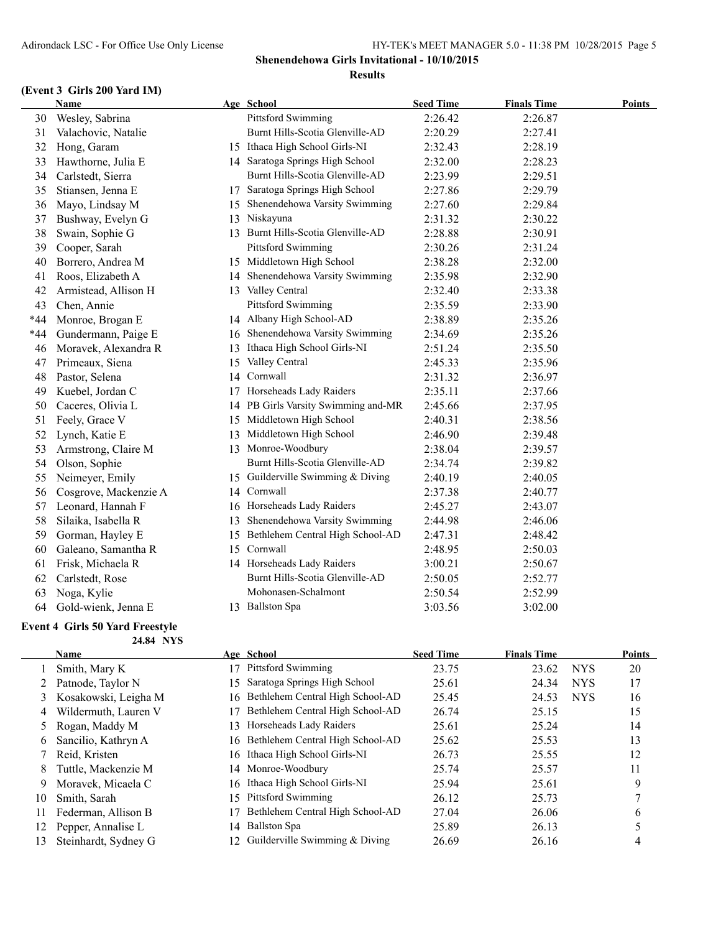### **(Event 3 Girls 200 Yard IM)**

|       | Name                  |    | Age School                         | <b>Seed Time</b> | <b>Finals Time</b> | <b>Points</b> |
|-------|-----------------------|----|------------------------------------|------------------|--------------------|---------------|
| 30    | Wesley, Sabrina       |    | Pittsford Swimming                 | 2:26.42          | 2:26.87            |               |
| 31    | Valachovic, Natalie   |    | Burnt Hills-Scotia Glenville-AD    | 2:20.29          | 2:27.41            |               |
| 32    | Hong, Garam           |    | 15 Ithaca High School Girls-NI     | 2:32.43          | 2:28.19            |               |
| 33    | Hawthorne, Julia E    |    | 14 Saratoga Springs High School    | 2:32.00          | 2:28.23            |               |
| 34    | Carlstedt, Sierra     |    | Burnt Hills-Scotia Glenville-AD    | 2:23.99          | 2:29.51            |               |
| 35    | Stiansen, Jenna E     | 17 | Saratoga Springs High School       | 2:27.86          | 2:29.79            |               |
| 36    | Mayo, Lindsay M       | 15 | Shenendehowa Varsity Swimming      | 2:27.60          | 2:29.84            |               |
| 37    | Bushway, Evelyn G     | 13 | Niskayuna                          | 2:31.32          | 2:30.22            |               |
| 38    | Swain, Sophie G       |    | 13 Burnt Hills-Scotia Glenville-AD | 2:28.88          | 2:30.91            |               |
| 39    | Cooper, Sarah         |    | Pittsford Swimming                 | 2:30.26          | 2:31.24            |               |
| 40    | Borrero, Andrea M     |    | 15 Middletown High School          | 2:38.28          | 2:32.00            |               |
| 41    | Roos, Elizabeth A     |    | 14 Shenendehowa Varsity Swimming   | 2:35.98          | 2:32.90            |               |
| 42    | Armistead, Allison H  |    | 13 Valley Central                  | 2:32.40          | 2:33.38            |               |
| 43    | Chen, Annie           |    | <b>Pittsford Swimming</b>          | 2:35.59          | 2:33.90            |               |
| $*44$ | Monroe, Brogan E      |    | 14 Albany High School-AD           | 2:38.89          | 2:35.26            |               |
| $*44$ | Gundermann, Paige E   | 16 | Shenendehowa Varsity Swimming      | 2:34.69          | 2:35.26            |               |
| 46    | Moravek, Alexandra R  |    | 13 Ithaca High School Girls-NI     | 2:51.24          | 2:35.50            |               |
| 47    | Primeaux, Siena       | 15 | Valley Central                     | 2:45.33          | 2:35.96            |               |
| 48    | Pastor, Selena        | 14 | Cornwall                           | 2:31.32          | 2:36.97            |               |
| 49    | Kuebel, Jordan C      |    | 17 Horseheads Lady Raiders         | 2:35.11          | 2:37.66            |               |
| 50    | Caceres, Olivia L     | 14 | PB Girls Varsity Swimming and-MR   | 2:45.66          | 2:37.95            |               |
| 51    | Feely, Grace V        |    | 15 Middletown High School          | 2:40.31          | 2:38.56            |               |
| 52    | Lynch, Katie E        |    | 13 Middletown High School          | 2:46.90          | 2:39.48            |               |
| 53    | Armstrong, Claire M   |    | 13 Monroe-Woodbury                 | 2:38.04          | 2:39.57            |               |
| 54    | Olson, Sophie         |    | Burnt Hills-Scotia Glenville-AD    | 2:34.74          | 2:39.82            |               |
| 55    | Neimeyer, Emily       |    | 15 Guilderville Swimming & Diving  | 2:40.19          | 2:40.05            |               |
| 56    | Cosgrove, Mackenzie A | 14 | Cornwall                           | 2:37.38          | 2:40.77            |               |
| 57    | Leonard, Hannah F     |    | 16 Horseheads Lady Raiders         | 2:45.27          | 2:43.07            |               |
| 58    | Silaika, Isabella R   | 13 | Shenendehowa Varsity Swimming      | 2:44.98          | 2:46.06            |               |
| 59    | Gorman, Hayley E      | 15 | Bethlehem Central High School-AD   | 2:47.31          | 2:48.42            |               |
| 60    | Galeano, Samantha R   | 15 | Cornwall                           | 2:48.95          | 2:50.03            |               |
| 61    | Frisk, Michaela R     |    | 14 Horseheads Lady Raiders         | 3:00.21          | 2:50.67            |               |
| 62    | Carlstedt, Rose       |    | Burnt Hills-Scotia Glenville-AD    | 2:50.05          | 2:52.77            |               |
| 63    | Noga, Kylie           |    | Mohonasen-Schalmont                | 2:50.54          | 2:52.99            |               |
| 64    | Gold-wienk, Jenna E   |    | 13 Ballston Spa                    | 3:03.56          | 3:02.00            |               |
|       |                       |    |                                    |                  |                    |               |

#### **Event 4 Girls 50 Yard Freestyle 24.84 NYS**

|    | Name                 |     | Age School                          | <b>Seed Time</b> | <b>Finals Time</b> |            | <b>Points</b> |
|----|----------------------|-----|-------------------------------------|------------------|--------------------|------------|---------------|
|    | Smith, Mary K        |     | Pittsford Swimming                  | 23.75            | 23.62              | <b>NYS</b> | 20            |
|    | Patnode, Taylor N    | 15  | Saratoga Springs High School        | 25.61            | 24.34              | <b>NYS</b> | 17            |
| 3  | Kosakowski, Leigha M |     | 16 Bethlehem Central High School-AD | 25.45            | 24.53              | <b>NYS</b> | 16            |
| 4  | Wildermuth, Lauren V |     | Bethlehem Central High School-AD    | 26.74            | 25.15              |            | 15            |
|    | Rogan, Maddy M       | 13. | Horseheads Lady Raiders             | 25.61            | 25.24              |            | 14            |
| 6  | Sancilio, Kathryn A  |     | 16 Bethlehem Central High School-AD | 25.62            | 25.53              |            | 13            |
|    | Reid, Kristen        |     | 16 Ithaca High School Girls-NI      | 26.73            | 25.55              |            | 12            |
| 8  | Tuttle, Mackenzie M  |     | 14 Monroe-Woodbury                  | 25.74            | 25.57              |            | 11            |
| 9  | Moravek, Micaela C   | 16  | Ithaca High School Girls-NI         | 25.94            | 25.61              |            | 9             |
| 10 | Smith, Sarah         | 15  | Pittsford Swimming                  | 26.12            | 25.73              |            |               |
| 11 | Federman, Allison B  |     | Bethlehem Central High School-AD    | 27.04            | 26.06              |            | 6             |
| 12 | Pepper, Annalise L   | 14  | <b>Ballston Spa</b>                 | 25.89            | 26.13              |            |               |
| 13 | Steinhardt, Sydney G |     | Guilderville Swimming $& Diving$    | 26.69            | 26.16              |            | 4             |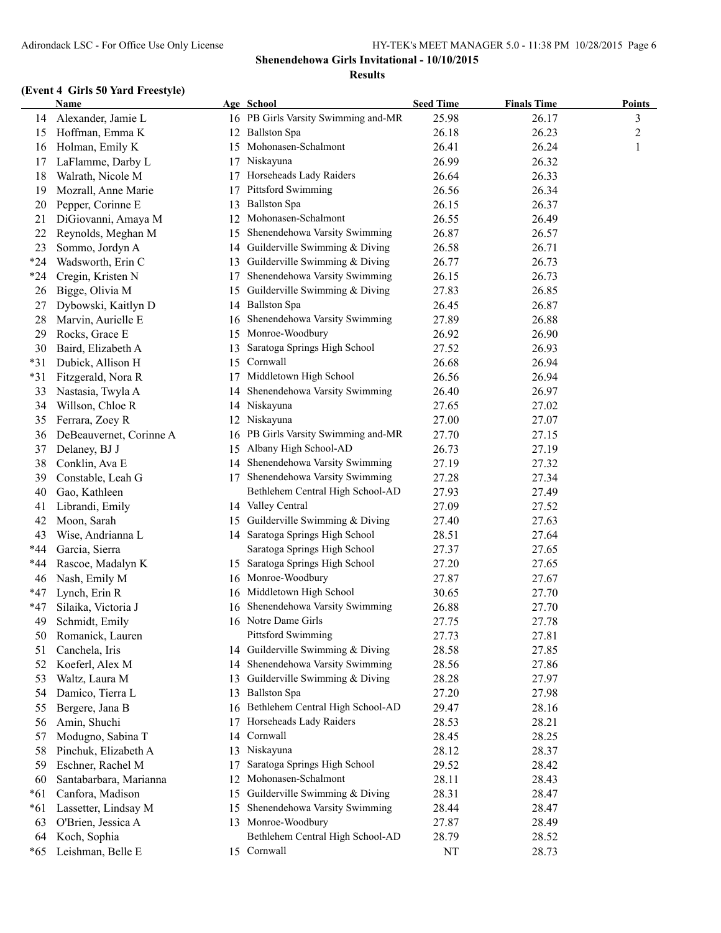|       | <b>Name</b>             |    | Age School                          | <b>Seed Time</b> | <b>Finals Time</b> | <b>Points</b>  |
|-------|-------------------------|----|-------------------------------------|------------------|--------------------|----------------|
| 14    | Alexander, Jamie L      |    | 16 PB Girls Varsity Swimming and-MR | 25.98            | 26.17              | 3              |
| 15    | Hoffman, Emma K         | 12 | <b>Ballston Spa</b>                 | 26.18            | 26.23              | $\overline{c}$ |
| 16    | Holman, Emily K         | 15 | Mohonasen-Schalmont                 | 26.41            | 26.24              | $\mathbf{1}$   |
| 17    | LaFlamme, Darby L       | 17 | Niskayuna                           | 26.99            | 26.32              |                |
| 18    | Walrath, Nicole M       | 17 | Horseheads Lady Raiders             | 26.64            | 26.33              |                |
| 19    | Mozrall, Anne Marie     | 17 | Pittsford Swimming                  | 26.56            | 26.34              |                |
| 20    | Pepper, Corinne E       | 13 | <b>Ballston Spa</b>                 | 26.15            | 26.37              |                |
| 21    | DiGiovanni, Amaya M     | 12 | Mohonasen-Schalmont                 | 26.55            | 26.49              |                |
| 22    | Reynolds, Meghan M      |    | 15 Shenendehowa Varsity Swimming    | 26.87            | 26.57              |                |
| 23    | Sommo, Jordyn A         |    | 14 Guilderville Swimming & Diving   | 26.58            | 26.71              |                |
| $*24$ | Wadsworth, Erin C       |    | 13 Guilderville Swimming & Diving   | 26.77            | 26.73              |                |
| $*24$ | Cregin, Kristen N       | 17 | Shenendehowa Varsity Swimming       | 26.15            | 26.73              |                |
| 26    | Bigge, Olivia M         | 15 | Guilderville Swimming & Diving      | 27.83            | 26.85              |                |
| 27    | Dybowski, Kaitlyn D     |    | 14 Ballston Spa                     | 26.45            | 26.87              |                |
| 28    | Marvin, Aurielle E      | 16 | Shenendehowa Varsity Swimming       | 27.89            | 26.88              |                |
| 29    | Rocks, Grace E          |    | 15 Monroe-Woodbury                  | 26.92            | 26.90              |                |
| 30    | Baird, Elizabeth A      | 13 | Saratoga Springs High School        | 27.52            | 26.93              |                |
| $*31$ | Dubick, Allison H       | 15 | Cornwall                            | 26.68            | 26.94              |                |
| $*31$ | Fitzgerald, Nora R      |    | 17 Middletown High School           | 26.56            | 26.94              |                |
| 33    | Nastasia, Twyla A       | 14 | Shenendehowa Varsity Swimming       | 26.40            | 26.97              |                |
| 34    | Willson, Chloe R        |    | 14 Niskayuna                        | 27.65            | 27.02              |                |
| 35    | Ferrara, Zoey R         |    | 12 Niskayuna                        | 27.00            | 27.07              |                |
| 36    | DeBeauvernet, Corinne A | 16 | PB Girls Varsity Swimming and-MR    | 27.70            | 27.15              |                |
| 37    | Delaney, BJ J           |    | 15 Albany High School-AD            | 26.73            | 27.19              |                |
| 38    | Conklin, Ava E          |    | 14 Shenendehowa Varsity Swimming    | 27.19            | 27.32              |                |
| 39    | Constable, Leah G       |    | 17 Shenendehowa Varsity Swimming    | 27.28            | 27.34              |                |
| 40    | Gao, Kathleen           |    | Bethlehem Central High School-AD    | 27.93            | 27.49              |                |
| 41    | Librandi, Emily         |    | 14 Valley Central                   | 27.09            | 27.52              |                |
| 42    | Moon, Sarah             |    | 15 Guilderville Swimming & Diving   | 27.40            | 27.63              |                |
| 43    | Wise, Andrianna L       |    | 14 Saratoga Springs High School     | 28.51            | 27.64              |                |
| *44   | Garcia, Sierra          |    | Saratoga Springs High School        | 27.37            | 27.65              |                |
| $*44$ | Rascoe, Madalyn K       |    | 15 Saratoga Springs High School     | 27.20            | 27.65              |                |
| 46    | Nash, Emily M           |    | 16 Monroe-Woodbury                  | 27.87            | 27.67              |                |
|       |                         |    | 16 Middletown High School           |                  |                    |                |
| $*47$ | Lynch, Erin R           |    | 16 Shenendehowa Varsity Swimming    | 30.65            | 27.70              |                |
| *47   | Silaika, Victoria J     |    |                                     | 26.88            | 27.70              |                |
| 49    | Schmidt. Emily          |    | 16 Notre Dame Girls                 | 27.75            | 27.78              |                |
| 50    | Romanick, Lauren        |    | Pittsford Swimming                  | 27.73            | 27.81              |                |
| 51    | Canchela, Iris          |    | 14 Guilderville Swimming & Diving   | 28.58            | 27.85              |                |
| 52    | Koeferl, Alex M         | 14 | Shenendehowa Varsity Swimming       | 28.56            | 27.86              |                |
| 53    | Waltz, Laura M          | 13 | Guilderville Swimming & Diving      | 28.28            | 27.97              |                |
| 54    | Damico, Tierra L        | 13 | <b>Ballston Spa</b>                 | 27.20            | 27.98              |                |
| 55    | Bergere, Jana B         | 16 | Bethlehem Central High School-AD    | 29.47            | 28.16              |                |
| 56    | Amin, Shuchi            | 17 | Horseheads Lady Raiders             | 28.53            | 28.21              |                |
| 57    | Modugno, Sabina T       | 14 | Cornwall                            | 28.45            | 28.25              |                |
| 58    | Pinchuk, Elizabeth A    | 13 | Niskayuna                           | 28.12            | 28.37              |                |
| 59    | Eschner, Rachel M       | 17 | Saratoga Springs High School        | 29.52            | 28.42              |                |
| 60    | Santabarbara, Marianna  | 12 | Mohonasen-Schalmont                 | 28.11            | 28.43              |                |
| $*61$ | Canfora, Madison        | 15 | Guilderville Swimming & Diving      | 28.31            | 28.47              |                |
| *61   | Lassetter, Lindsay M    | 15 | Shenendehowa Varsity Swimming       | 28.44            | 28.47              |                |
| 63    | O'Brien, Jessica A      | 13 | Monroe-Woodbury                     | 27.87            | 28.49              |                |
| 64    | Koch, Sophia            |    | Bethlehem Central High School-AD    | 28.79            | 28.52              |                |
| $*65$ | Leishman, Belle E       |    | 15 Cornwall                         | NT               | 28.73              |                |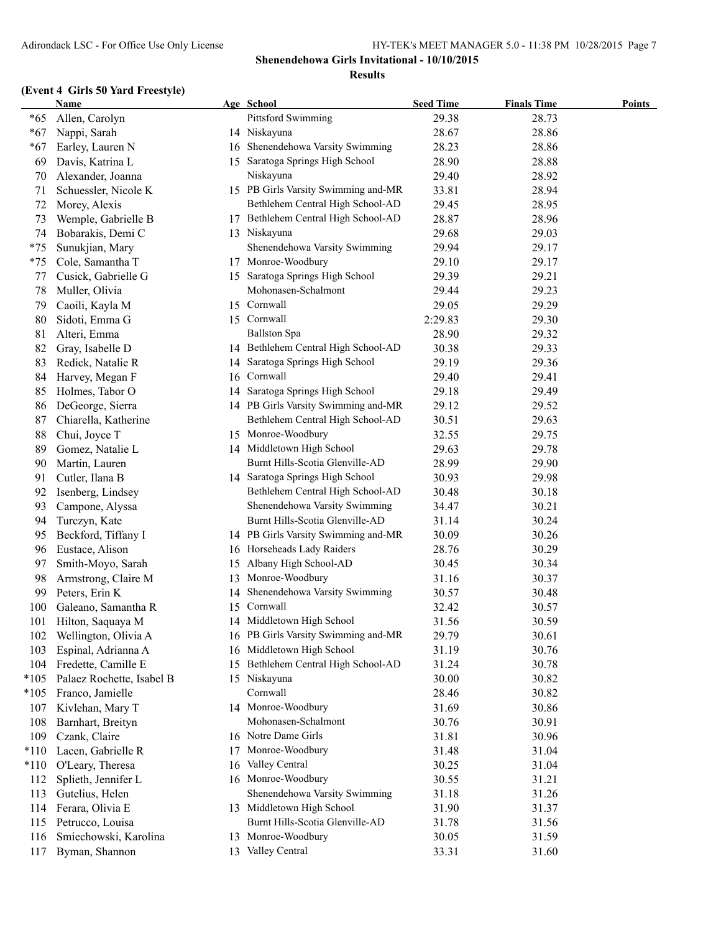|        | <b>Name</b>               |    | Age School                          | <b>Seed Time</b> | <b>Finals Time</b> | <b>Points</b> |
|--------|---------------------------|----|-------------------------------------|------------------|--------------------|---------------|
| $*65$  | Allen, Carolyn            |    | <b>Pittsford Swimming</b>           | 29.38            | 28.73              |               |
| $*67$  | Nappi, Sarah              |    | 14 Niskayuna                        | 28.67            | 28.86              |               |
| $*67$  | Earley, Lauren N          |    | 16 Shenendehowa Varsity Swimming    | 28.23            | 28.86              |               |
| 69     | Davis, Katrina L          |    | 15 Saratoga Springs High School     | 28.90            | 28.88              |               |
| 70     | Alexander, Joanna         |    | Niskayuna                           | 29.40            | 28.92              |               |
| 71     | Schuessler, Nicole K      |    | 15 PB Girls Varsity Swimming and-MR | 33.81            | 28.94              |               |
| 72     | Morey, Alexis             |    | Bethlehem Central High School-AD    | 29.45            | 28.95              |               |
| 73     | Wemple, Gabrielle B       | 17 | Bethlehem Central High School-AD    | 28.87            | 28.96              |               |
| 74     | Bobarakis, Demi C         |    | 13 Niskayuna                        | 29.68            | 29.03              |               |
| $*75$  | Sunukjian, Mary           |    | Shenendehowa Varsity Swimming       | 29.94            | 29.17              |               |
| $*75$  | Cole, Samantha T          |    | 17 Monroe-Woodbury                  | 29.10            | 29.17              |               |
| 77     | Cusick, Gabrielle G       |    | 15 Saratoga Springs High School     | 29.39            | 29.21              |               |
| 78     | Muller, Olivia            |    | Mohonasen-Schalmont                 | 29.44            | 29.23              |               |
|        |                           |    | 15 Cornwall                         | 29.05            | 29.29              |               |
| 79     | Caoili, Kayla M           |    |                                     |                  |                    |               |
| 80     | Sidoti, Emma G            |    | 15 Cornwall                         | 2:29.83          | 29.30              |               |
| 81     | Alteri, Emma              |    | <b>Ballston Spa</b>                 | 28.90            | 29.32              |               |
| 82     | Gray, Isabelle D          |    | 14 Bethlehem Central High School-AD | 30.38            | 29.33              |               |
| 83     | Redick, Natalie R         |    | 14 Saratoga Springs High School     | 29.19            | 29.36              |               |
| 84     | Harvey, Megan F           |    | 16 Cornwall                         | 29.40            | 29.41              |               |
| 85     | Holmes, Tabor O           |    | 14 Saratoga Springs High School     | 29.18            | 29.49              |               |
| 86     | DeGeorge, Sierra          |    | 14 PB Girls Varsity Swimming and-MR | 29.12            | 29.52              |               |
| 87     | Chiarella, Katherine      |    | Bethlehem Central High School-AD    | 30.51            | 29.63              |               |
| 88     | Chui, Joyce T             |    | 15 Monroe-Woodbury                  | 32.55            | 29.75              |               |
| 89     | Gomez, Natalie L          |    | 14 Middletown High School           | 29.63            | 29.78              |               |
| 90     | Martin, Lauren            |    | Burnt Hills-Scotia Glenville-AD     | 28.99            | 29.90              |               |
| 91     | Cutler, Ilana B           |    | 14 Saratoga Springs High School     | 30.93            | 29.98              |               |
| 92     | Isenberg, Lindsey         |    | Bethlehem Central High School-AD    | 30.48            | 30.18              |               |
| 93     | Campone, Alyssa           |    | Shenendehowa Varsity Swimming       | 34.47            | 30.21              |               |
| 94     | Turczyn, Kate             |    | Burnt Hills-Scotia Glenville-AD     | 31.14            | 30.24              |               |
| 95     | Beckford, Tiffany I       |    | 14 PB Girls Varsity Swimming and-MR | 30.09            | 30.26              |               |
| 96     | Eustace, Alison           |    | 16 Horseheads Lady Raiders          | 28.76            | 30.29              |               |
| 97     | Smith-Moyo, Sarah         | 15 | Albany High School-AD               | 30.45            | 30.34              |               |
| 98     | Armstrong, Claire M       |    | 13 Monroe-Woodbury                  | 31.16            | 30.37              |               |
| 99     | Peters, Erin K            | 14 | Shenendehowa Varsity Swimming       | 30.57            | 30.48              |               |
| 100    | Galeano, Samantha R       |    | 15 Cornwall                         | 32.42            | 30.57              |               |
| 101    | Hilton, Saquaya M         |    | 14 Middletown High School           | 31.56            | 30.59              |               |
| 102    | Wellington, Olivia A      |    | 16 PB Girls Varsity Swimming and-MR | 29.79            | 30.61              |               |
| 103    | Espinal, Adrianna A       | 16 | Middletown High School              | 31.19            | 30.76              |               |
| 104    | Fredette, Camille E       | 15 | Bethlehem Central High School-AD    | 31.24            | 30.78              |               |
| $*105$ | Palaez Rochette, Isabel B |    | 15 Niskayuna                        | 30.00            | 30.82              |               |
| $*105$ | Franco, Jamielle          |    | Cornwall                            | 28.46            | 30.82              |               |
| 107    |                           |    | 14 Monroe-Woodbury                  | 31.69            | 30.86              |               |
|        | Kivlehan, Mary T          |    | Mohonasen-Schalmont                 |                  |                    |               |
| 108    | Barnhart, Breityn         |    |                                     | 30.76            | 30.91              |               |
| 109    | Czank, Claire             |    | 16 Notre Dame Girls                 | 31.81            | 30.96              |               |
| $*110$ | Lacen, Gabrielle R        | 17 | Monroe-Woodbury                     | 31.48            | 31.04              |               |
| $*110$ | O'Leary, Theresa          | 16 | Valley Central                      | 30.25            | 31.04              |               |
| 112    | Splieth, Jennifer L       |    | 16 Monroe-Woodbury                  | 30.55            | 31.21              |               |
| 113    | Gutelius, Helen           |    | Shenendehowa Varsity Swimming       | 31.18            | 31.26              |               |
| 114    | Ferara, Olivia E          |    | 13 Middletown High School           | 31.90            | 31.37              |               |
| 115    | Petrucco, Louisa          |    | Burnt Hills-Scotia Glenville-AD     | 31.78            | 31.56              |               |
| 116    | Smiechowski, Karolina     |    | 13 Monroe-Woodbury                  | 30.05            | 31.59              |               |
| 117    | Byman, Shannon            |    | 13 Valley Central                   | 33.31            | 31.60              |               |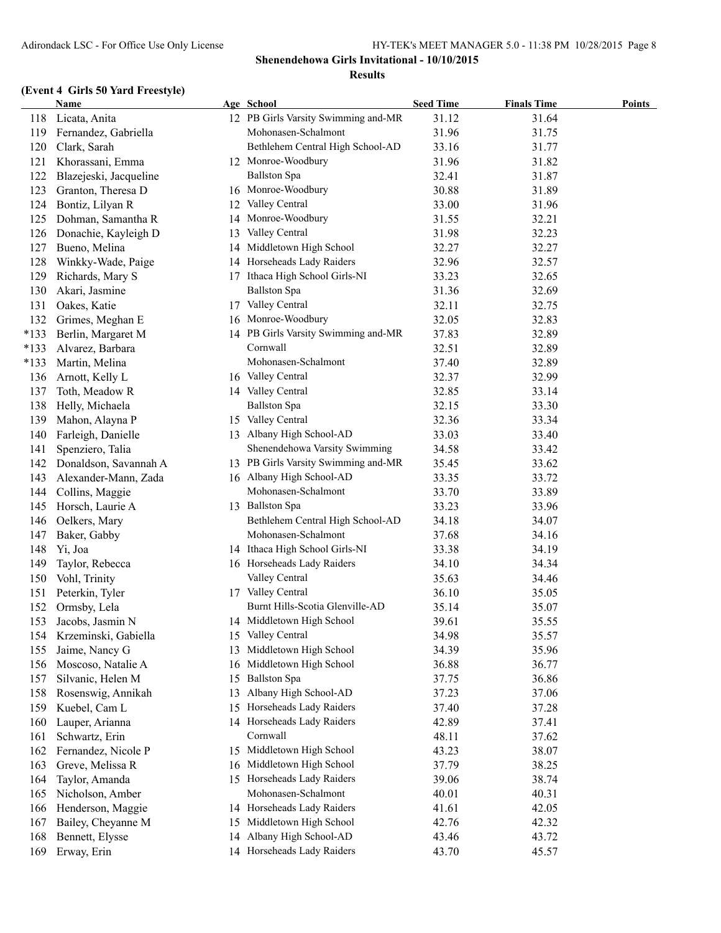|        | <b>Name</b>            |    | Age School                          | <b>Seed Time</b> | <b>Finals Time</b> | <b>Points</b> |
|--------|------------------------|----|-------------------------------------|------------------|--------------------|---------------|
| 118    | Licata, Anita          |    | 12 PB Girls Varsity Swimming and-MR | 31.12            | 31.64              |               |
| 119    | Fernandez, Gabriella   |    | Mohonasen-Schalmont                 | 31.96            | 31.75              |               |
| 120    | Clark, Sarah           |    | Bethlehem Central High School-AD    | 33.16            | 31.77              |               |
| 121    | Khorassani, Emma       |    | 12 Monroe-Woodbury                  | 31.96            | 31.82              |               |
| 122    | Blazejeski, Jacqueline |    | <b>Ballston</b> Spa                 | 32.41            | 31.87              |               |
| 123    | Granton, Theresa D     | 16 | Monroe-Woodbury                     | 30.88            | 31.89              |               |
| 124    | Bontiz, Lilyan R       | 12 | Valley Central                      | 33.00            | 31.96              |               |
| 125    | Dohman, Samantha R     | 14 | Monroe-Woodbury                     | 31.55            | 32.21              |               |
| 126    | Donachie, Kayleigh D   | 13 | Valley Central                      | 31.98            | 32.23              |               |
| 127    | Bueno, Melina          | 14 | Middletown High School              | 32.27            | 32.27              |               |
| 128    | Winkky-Wade, Paige     | 14 | Horseheads Lady Raiders             | 32.96            | 32.57              |               |
| 129    | Richards, Mary S       |    | 17 Ithaca High School Girls-NI      | 33.23            | 32.65              |               |
| 130    | Akari, Jasmine         |    | <b>Ballston Spa</b>                 | 31.36            | 32.69              |               |
| 131    | Oakes, Katie           |    | 17 Valley Central                   | 32.11            | 32.75              |               |
| 132    | Grimes, Meghan E       |    | 16 Monroe-Woodbury                  | 32.05            | 32.83              |               |
| $*133$ | Berlin, Margaret M     |    | 14 PB Girls Varsity Swimming and-MR | 37.83            | 32.89              |               |
| $*133$ | Alvarez, Barbara       |    | Cornwall                            | 32.51            | 32.89              |               |
| $*133$ | Martin, Melina         |    | Mohonasen-Schalmont                 | 37.40            | 32.89              |               |
| 136    | Arnott, Kelly L        |    | 16 Valley Central                   | 32.37            | 32.99              |               |
| 137    | Toth, Meadow R         |    | 14 Valley Central                   | 32.85            | 33.14              |               |
| 138    | Helly, Michaela        |    | <b>Ballston Spa</b>                 | 32.15            | 33.30              |               |
| 139    | Mahon, Alayna P        |    | 15 Valley Central                   | 32.36            | 33.34              |               |
| 140    | Farleigh, Danielle     | 13 | Albany High School-AD               | 33.03            | 33.40              |               |
| 141    | Spenziero, Talia       |    | Shenendehowa Varsity Swimming       | 34.58            | 33.42              |               |
| 142    | Donaldson, Savannah A  |    | 13 PB Girls Varsity Swimming and-MR | 35.45            | 33.62              |               |
| 143    | Alexander-Mann, Zada   |    | 16 Albany High School-AD            | 33.35            | 33.72              |               |
| 144    | Collins, Maggie        |    | Mohonasen-Schalmont                 | 33.70            | 33.89              |               |
| 145    | Horsch, Laurie A       |    | 13 Ballston Spa                     | 33.23            | 33.96              |               |
| 146    | Oelkers, Mary          |    | Bethlehem Central High School-AD    | 34.18            | 34.07              |               |
| 147    | Baker, Gabby           |    | Mohonasen-Schalmont                 | 37.68            | 34.16              |               |
| 148    | Yi, Joa                |    | 14 Ithaca High School Girls-NI      | 33.38            | 34.19              |               |
| 149    | Taylor, Rebecca        |    | 16 Horseheads Lady Raiders          | 34.10            | 34.34              |               |
| 150    | Vohl, Trinity          |    | Valley Central                      | 35.63            | 34.46              |               |
| 151    | Peterkin, Tyler        |    | 17 Valley Central                   | 36.10            | 35.05              |               |
| 152    | Ormsby, Lela           |    | Burnt Hills-Scotia Glenville-AD     | 35.14            | 35.07              |               |
| 153    | Jacobs, Jasmin N       |    | 14 Middletown High School           | 39.61            | 35.55              |               |
| 154    | Krzeminski, Gabiella   | 15 | Valley Central                      | 34.98            | 35.57              |               |
| 155    | Jaime, Nancy G         | 13 | Middletown High School              | 34.39            | 35.96              |               |
| 156    | Moscoso, Natalie A     | 16 | Middletown High School              | 36.88            | 36.77              |               |
| 157    | Silvanic, Helen M      | 15 | <b>Ballston</b> Spa                 | 37.75            | 36.86              |               |
| 158    | Rosenswig, Annikah     | 13 | Albany High School-AD               | 37.23            | 37.06              |               |
| 159    | Kuebel, Cam L          | 15 | Horseheads Lady Raiders             | 37.40            | 37.28              |               |
| 160    | Lauper, Arianna        | 14 | Horseheads Lady Raiders             | 42.89            | 37.41              |               |
| 161    | Schwartz, Erin         |    | Cornwall                            | 48.11            | 37.62              |               |
| 162    | Fernandez, Nicole P    |    | 15 Middletown High School           | 43.23            | 38.07              |               |
| 163    | Greve, Melissa R       |    | 16 Middletown High School           | 37.79            | 38.25              |               |
| 164    | Taylor, Amanda         |    | 15 Horseheads Lady Raiders          | 39.06            | 38.74              |               |
| 165    | Nicholson, Amber       |    | Mohonasen-Schalmont                 | 40.01            | 40.31              |               |
| 166    | Henderson, Maggie      |    | 14 Horseheads Lady Raiders          | 41.61            | 42.05              |               |
| 167    | Bailey, Cheyanne M     | 15 | Middletown High School              | 42.76            | 42.32              |               |
| 168    | Bennett, Elysse        | 14 | Albany High School-AD               | 43.46            | 43.72              |               |
| 169    | Erway, Erin            |    | 14 Horseheads Lady Raiders          | 43.70            | 45.57              |               |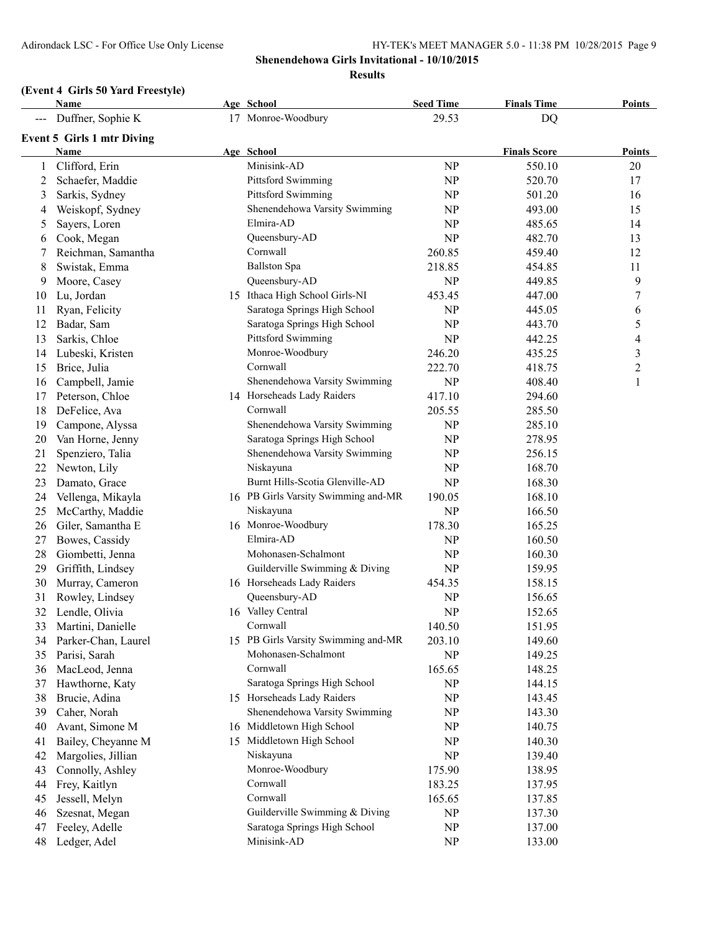|    | Name                              | Age School                          | <b>Seed Time</b> | <b>Finals Time</b>  | <b>Points</b>    |
|----|-----------------------------------|-------------------------------------|------------------|---------------------|------------------|
|    | Duffner, Sophie K                 | 17 Monroe-Woodbury                  | 29.53            | DQ                  |                  |
|    | <b>Event 5 Girls 1 mtr Diving</b> |                                     |                  |                     |                  |
|    | Name                              | Age School                          |                  | <b>Finals Score</b> | <b>Points</b>    |
|    | Clifford, Erin                    | Minisink-AD                         | NP               | 550.10              | 20               |
| 2  | Schaefer, Maddie                  | <b>Pittsford Swimming</b>           | NP               | 520.70              | 17               |
| 3  | Sarkis, Sydney                    | Pittsford Swimming                  | NP               | 501.20              | 16               |
| 4  | Weiskopf, Sydney                  | Shenendehowa Varsity Swimming       | <b>NP</b>        | 493.00              | 15               |
| 5  | Sayers, Loren                     | Elmira-AD                           | <b>NP</b>        | 485.65              | 14               |
| 6  | Cook, Megan                       | Queensbury-AD                       | NP               | 482.70              | 13               |
| 7  | Reichman, Samantha                | Cornwall                            | 260.85           | 459.40              | 12               |
| 8  | Swistak, Emma                     | <b>Ballston Spa</b>                 | 218.85           | 454.85              | 11               |
| 9  | Moore, Casey                      | Queensbury-AD                       | NP               | 449.85              | 9                |
| 10 | Lu, Jordan                        | 15 Ithaca High School Girls-NI      | 453.45           | 447.00              | $\boldsymbol{7}$ |
| 11 | Ryan, Felicity                    | Saratoga Springs High School        | NP               | 445.05              | 6                |
| 12 | Badar, Sam                        | Saratoga Springs High School        | <b>NP</b>        | 443.70              | 5                |
| 13 | Sarkis, Chloe                     | <b>Pittsford Swimming</b>           | NP               | 442.25              | 4                |
| 14 | Lubeski, Kristen                  | Monroe-Woodbury                     | 246.20           | 435.25              | $\mathfrak{Z}$   |
| 15 | Brice, Julia                      | Cornwall                            | 222.70           | 418.75              | $\sqrt{2}$       |
| 16 | Campbell, Jamie                   | Shenendehowa Varsity Swimming       | NP               | 408.40              | $\,1$            |
| 17 | Peterson, Chloe                   | 14 Horseheads Lady Raiders          | 417.10           | 294.60              |                  |
| 18 | DeFelice, Ava                     | Cornwall                            | 205.55           | 285.50              |                  |
| 19 | Campone, Alyssa                   | Shenendehowa Varsity Swimming       | NP               | 285.10              |                  |
| 20 | Van Horne, Jenny                  | Saratoga Springs High School        | <b>NP</b>        | 278.95              |                  |
| 21 | Spenziero, Talia                  | Shenendehowa Varsity Swimming       | <b>NP</b>        | 256.15              |                  |
| 22 | Newton, Lily                      | Niskayuna                           | NP               | 168.70              |                  |
| 23 | Damato, Grace                     | Burnt Hills-Scotia Glenville-AD     | NP               | 168.30              |                  |
| 24 | Vellenga, Mikayla                 | 16 PB Girls Varsity Swimming and-MR | 190.05           | 168.10              |                  |
| 25 | McCarthy, Maddie                  | Niskayuna                           | <b>NP</b>        | 166.50              |                  |
| 26 | Giler, Samantha E                 | 16 Monroe-Woodbury                  | 178.30           | 165.25              |                  |
| 27 | Bowes, Cassidy                    | Elmira-AD                           | <b>NP</b>        | 160.50              |                  |
| 28 | Giombetti, Jenna                  | Mohonasen-Schalmont                 | <b>NP</b>        | 160.30              |                  |
| 29 | Griffith, Lindsey                 | Guilderville Swimming & Diving      | <b>NP</b>        | 159.95              |                  |
| 30 | Murray, Cameron                   | 16 Horseheads Lady Raiders          | 454.35           | 158.15              |                  |
| 31 | Rowley, Lindsey                   | Queensbury-AD                       | <b>NP</b>        | 156.65              |                  |
| 32 | Lendle, Olivia                    | 16 Valley Central                   | NP               | 152.65              |                  |
|    | 33 Martini, Danielle              | Cornwall                            | 140.50           | 151.95              |                  |
| 34 | Parker-Chan, Laurel               | 15 PB Girls Varsity Swimming and-MR | 203.10           | 149.60              |                  |
| 35 | Parisi, Sarah                     | Mohonasen-Schalmont                 | NP               | 149.25              |                  |
| 36 | MacLeod, Jenna                    | Cornwall                            | 165.65           | 148.25              |                  |
| 37 | Hawthorne, Katy                   | Saratoga Springs High School        | NP               | 144.15              |                  |
| 38 | Brucie, Adina                     | 15 Horseheads Lady Raiders          | NP               | 143.45              |                  |
| 39 | Caher, Norah                      | Shenendehowa Varsity Swimming       | NP               | 143.30              |                  |
| 40 | Avant, Simone M                   | 16 Middletown High School           | NP               | 140.75              |                  |
| 41 | Bailey, Cheyanne M                | 15 Middletown High School           | <b>NP</b>        | 140.30              |                  |
| 42 | Margolies, Jillian                | Niskayuna                           | NP               | 139.40              |                  |
| 43 | Connolly, Ashley                  | Monroe-Woodbury                     | 175.90           | 138.95              |                  |
| 44 | Frey, Kaitlyn                     | Cornwall                            | 183.25           | 137.95              |                  |
| 45 | Jessell, Melyn                    | Cornwall                            | 165.65           | 137.85              |                  |
| 46 | Szesnat, Megan                    | Guilderville Swimming & Diving      | NP               | 137.30              |                  |
| 47 | Feeley, Adelle                    | Saratoga Springs High School        | NP               | 137.00              |                  |
| 48 | Ledger, Adel                      | Minisink-AD                         | NP               | 133.00              |                  |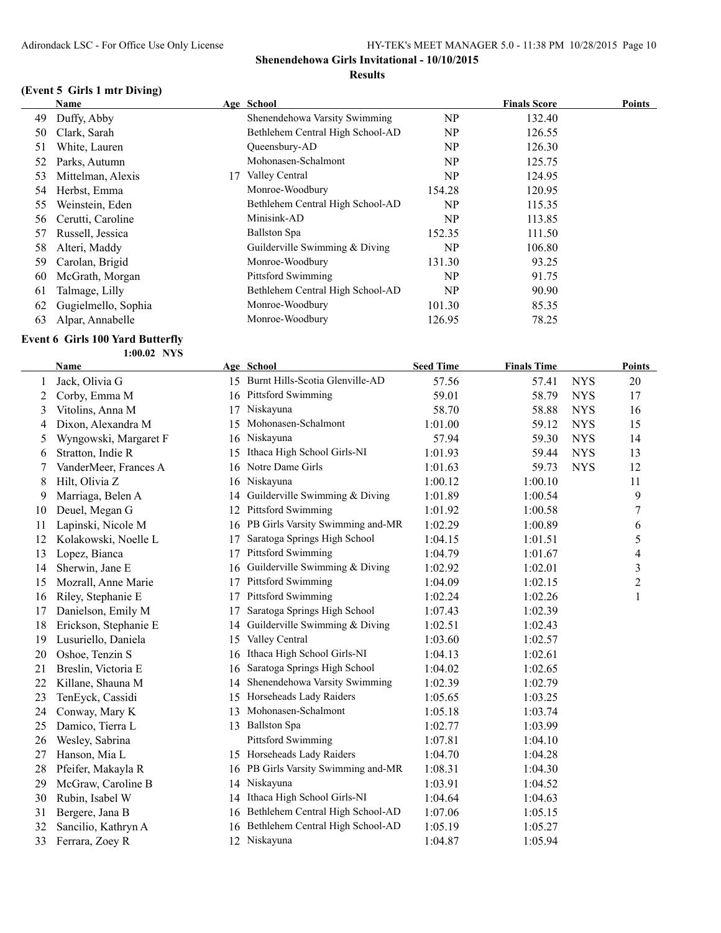### **(Event 5 Girls 1 mtr Diving)**

|    | Name                |    | Age School                       |        | <b>Finals Score</b> | <b>Points</b> |
|----|---------------------|----|----------------------------------|--------|---------------------|---------------|
| 49 | Duffy, Abby         |    | Shenendehowa Varsity Swimming    | NP     | 132.40              |               |
| 50 | Clark, Sarah        |    | Bethlehem Central High School-AD | NP     | 126.55              |               |
| 51 | White, Lauren       |    | Oueensbury-AD                    | NP     | 126.30              |               |
| 52 | Parks, Autumn       |    | Mohonasen-Schalmont              | NP     | 125.75              |               |
| 53 | Mittelman, Alexis   | 17 | Valley Central                   | NP     | 124.95              |               |
| 54 | Herbst, Emma        |    | Monroe-Woodbury                  | 154.28 | 120.95              |               |
| 55 | Weinstein, Eden     |    | Bethlehem Central High School-AD | NP     | 115.35              |               |
| 56 | Cerutti, Caroline   |    | Minisink-AD                      | NP     | 113.85              |               |
| 57 | Russell, Jessica    |    | <b>Ballston Spa</b>              | 152.35 | 111.50              |               |
| 58 | Alteri, Maddy       |    | Guilderville Swimming & Diving   | NP     | 106.80              |               |
| 59 | Carolan, Brigid     |    | Monroe-Woodbury                  | 131.30 | 93.25               |               |
| 60 | McGrath, Morgan     |    | Pittsford Swimming               | NP.    | 91.75               |               |
| 61 | Talmage, Lilly      |    | Bethlehem Central High School-AD | NP     | 90.90               |               |
| 62 | Gugielmello, Sophia |    | Monroe-Woodbury                  | 101.30 | 85.35               |               |
| 63 | Alpar, Annabelle    |    | Monroe-Woodbury                  | 126.95 | 78.25               |               |

### **Event 6 Girls 100 Yard Butterfly**

**1:00.02 NYS**

|    | Name                  |    | Age School                         | <b>Seed Time</b> | <b>Finals Time</b> |            | Points         |
|----|-----------------------|----|------------------------------------|------------------|--------------------|------------|----------------|
|    | Jack, Olivia G        |    | 15 Burnt Hills-Scotia Glenville-AD | 57.56            | 57.41              | <b>NYS</b> | 20             |
| 2  | Corby, Emma M         |    | 16 Pittsford Swimming              | 59.01            | 58.79              | <b>NYS</b> | 17             |
| 3  | Vitolins, Anna M      | 17 | Niskayuna                          | 58.70            | 58.88              | <b>NYS</b> | 16             |
| 4  | Dixon, Alexandra M    | 15 | Mohonasen-Schalmont                | 1:01.00          | 59.12              | <b>NYS</b> | 15             |
| 5  | Wyngowski, Margaret F | 16 | Niskayuna                          | 57.94            | 59.30              | <b>NYS</b> | 14             |
| 6  | Stratton, Indie R     | 15 | Ithaca High School Girls-NI        | 1:01.93          | 59.44              | <b>NYS</b> | 13             |
| 7  | VanderMeer, Frances A | 16 | Notre Dame Girls                   | 1:01.63          | 59.73              | <b>NYS</b> | 12             |
| 8  | Hilt, Olivia Z        | 16 | Niskayuna                          | 1:00.12          | 1:00.10            |            | 11             |
| 9  | Marriaga, Belen A     | 14 | Guilderville Swimming & Diving     | 1:01.89          | 1:00.54            |            | 9              |
| 10 | Deuel, Megan G        | 12 | Pittsford Swimming                 | 1:01.92          | 1:00.58            |            | 7              |
| 11 | Lapinski, Nicole M    | 16 | PB Girls Varsity Swimming and-MR   | 1:02.29          | 1:00.89            |            | 6              |
| 12 | Kolakowski, Noelle L  | 17 | Saratoga Springs High School       | 1:04.15          | 1:01.51            |            | 5              |
| 13 | Lopez, Bianca         | 17 | <b>Pittsford Swimming</b>          | 1:04.79          | 1:01.67            |            | 4              |
| 14 | Sherwin, Jane E       | 16 | Guilderville Swimming & Diving     | 1:02.92          | 1:02.01            |            | 3              |
| 15 | Mozrall, Anne Marie   | 17 | <b>Pittsford Swimming</b>          | 1:04.09          | 1:02.15            |            | $\overline{2}$ |
| 16 | Riley, Stephanie E    | 17 | <b>Pittsford Swimming</b>          | 1:02.24          | 1:02.26            |            | $\mathbf{1}$   |
| 17 | Danielson, Emily M    | 17 | Saratoga Springs High School       | 1:07.43          | 1:02.39            |            |                |
| 18 | Erickson, Stephanie E | 14 | Guilderville Swimming $& Diving$   | 1:02.51          | 1:02.43            |            |                |
| 19 | Lusuriello, Daniela   | 15 | Valley Central                     | 1:03.60          | 1:02.57            |            |                |
| 20 | Oshoe, Tenzin S       | 16 | Ithaca High School Girls-NI        | 1:04.13          | 1:02.61            |            |                |
| 21 | Breslin, Victoria E   | 16 | Saratoga Springs High School       | 1:04.02          | 1:02.65            |            |                |
| 22 | Killane, Shauna M     | 14 | Shenendehowa Varsity Swimming      | 1:02.39          | 1:02.79            |            |                |
| 23 | TenEyck, Cassidi      | 15 | Horseheads Lady Raiders            | 1:05.65          | 1:03.25            |            |                |
| 24 | Conway, Mary K        | 13 | Mohonasen-Schalmont                | 1:05.18          | 1:03.74            |            |                |
| 25 | Damico, Tierra L      | 13 | <b>Ballston Spa</b>                | 1:02.77          | 1:03.99            |            |                |
| 26 | Wesley, Sabrina       |    | <b>Pittsford Swimming</b>          | 1:07.81          | 1:04.10            |            |                |
| 27 | Hanson, Mia L         | 15 | Horseheads Lady Raiders            | 1:04.70          | 1:04.28            |            |                |
| 28 | Pfeifer, Makayla R    | 16 | PB Girls Varsity Swimming and-MR   | 1:08.31          | 1:04.30            |            |                |
| 29 | McGraw, Caroline B    | 14 | Niskayuna                          | 1:03.91          | 1:04.52            |            |                |
| 30 | Rubin, Isabel W       | 14 | Ithaca High School Girls-NI        | 1:04.64          | 1:04.63            |            |                |
| 31 | Bergere, Jana B       | 16 | Bethlehem Central High School-AD   | 1:07.06          | 1:05.15            |            |                |
| 32 | Sancilio, Kathryn A   | 16 | Bethlehem Central High School-AD   | 1:05.19          | 1:05.27            |            |                |
| 33 | Ferrara, Zoey R       |    | 12 Niskayuna                       | 1:04.87          | 1:05.94            |            |                |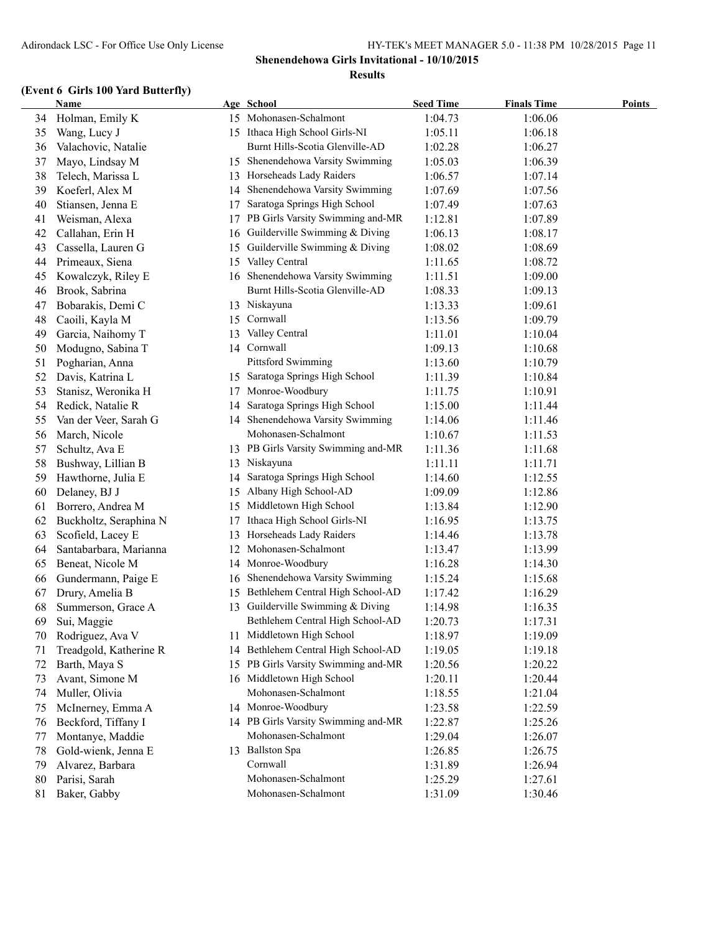### **(Event 6 Girls 100 Yard Butterfly)**

|    | Name                   |    | Age School                          | <b>Seed Time</b> | <b>Finals Time</b> | <b>Points</b> |
|----|------------------------|----|-------------------------------------|------------------|--------------------|---------------|
| 34 | Holman, Emily K        |    | 15 Mohonasen-Schalmont              | 1:04.73          | 1:06.06            |               |
| 35 | Wang, Lucy J           |    | 15 Ithaca High School Girls-NI      | 1:05.11          | 1:06.18            |               |
| 36 | Valachovic, Natalie    |    | Burnt Hills-Scotia Glenville-AD     | 1:02.28          | 1:06.27            |               |
| 37 | Mayo, Lindsay M        | 15 | Shenendehowa Varsity Swimming       | 1:05.03          | 1:06.39            |               |
| 38 | Telech, Marissa L      | 13 | Horseheads Lady Raiders             | 1:06.57          | 1:07.14            |               |
| 39 | Koeferl, Alex M        | 14 | Shenendehowa Varsity Swimming       | 1:07.69          | 1:07.56            |               |
| 40 | Stiansen, Jenna E      | 17 | Saratoga Springs High School        | 1:07.49          | 1:07.63            |               |
| 41 | Weisman, Alexa         | 17 | PB Girls Varsity Swimming and-MR    | 1:12.81          | 1:07.89            |               |
| 42 | Callahan, Erin H       | 16 | Guilderville Swimming & Diving      | 1:06.13          | 1:08.17            |               |
| 43 | Cassella, Lauren G     | 15 | Guilderville Swimming & Diving      | 1:08.02          | 1:08.69            |               |
| 44 | Primeaux, Siena        | 15 | Valley Central                      | 1:11.65          | 1:08.72            |               |
| 45 | Kowalczyk, Riley E     | 16 | Shenendehowa Varsity Swimming       | 1:11.51          | 1:09.00            |               |
| 46 | Brook, Sabrina         |    | Burnt Hills-Scotia Glenville-AD     | 1:08.33          | 1:09.13            |               |
| 47 | Bobarakis, Demi C      | 13 | Niskayuna                           | 1:13.33          | 1:09.61            |               |
| 48 | Caoili, Kayla M        | 15 | Cornwall                            | 1:13.56          | 1:09.79            |               |
| 49 | Garcia, Naihomy T      | 13 | Valley Central                      | 1:11.01          | 1:10.04            |               |
| 50 | Modugno, Sabina T      |    | 14 Cornwall                         | 1:09.13          | 1:10.68            |               |
| 51 | Pogharian, Anna        |    | <b>Pittsford Swimming</b>           | 1:13.60          | 1:10.79            |               |
| 52 | Davis, Katrina L       | 15 | Saratoga Springs High School        | 1:11.39          | 1:10.84            |               |
| 53 | Stanisz, Weronika H    | 17 | Monroe-Woodbury                     | 1:11.75          | 1:10.91            |               |
| 54 | Redick, Natalie R      | 14 | Saratoga Springs High School        | 1:15.00          | 1:11.44            |               |
| 55 | Van der Veer, Sarah G  | 14 | Shenendehowa Varsity Swimming       | 1:14.06          | 1:11.46            |               |
| 56 | March, Nicole          |    | Mohonasen-Schalmont                 | 1:10.67          | 1:11.53            |               |
| 57 | Schultz, Ava E         |    | 13 PB Girls Varsity Swimming and-MR | 1:11.36          | 1:11.68            |               |
| 58 | Bushway, Lillian B     | 13 | Niskayuna                           | 1:11.11          | 1:11.71            |               |
| 59 | Hawthorne, Julia E     | 14 | Saratoga Springs High School        | 1:14.60          | 1:12.55            |               |
| 60 | Delaney, BJ J          | 15 | Albany High School-AD               | 1:09.09          | 1:12.86            |               |
| 61 | Borrero, Andrea M      | 15 | Middletown High School              | 1:13.84          | 1:12.90            |               |
| 62 | Buckholtz, Seraphina N | 17 | Ithaca High School Girls-NI         | 1:16.95          | 1:13.75            |               |
| 63 | Scofield, Lacey E      | 13 | Horseheads Lady Raiders             | 1:14.46          | 1:13.78            |               |
| 64 | Santabarbara, Marianna | 12 | Mohonasen-Schalmont                 | 1:13.47          | 1:13.99            |               |
| 65 | Beneat, Nicole M       | 14 | Monroe-Woodbury                     | 1:16.28          | 1:14.30            |               |
| 66 | Gundermann, Paige E    | 16 | Shenendehowa Varsity Swimming       | 1:15.24          | 1:15.68            |               |
| 67 | Drury, Amelia B        | 15 | Bethlehem Central High School-AD    | 1:17.42          | 1:16.29            |               |
| 68 | Summerson, Grace A     | 13 | Guilderville Swimming & Diving      | 1:14.98          | 1:16.35            |               |
| 69 | Sui, Maggie            |    | Bethlehem Central High School-AD    | 1:20.73          | 1:17.31            |               |
| 70 | Rodriguez, Ava V       |    | 11 Middletown High School           | 1:18.97          | 1:19.09            |               |
| 71 | Treadgold, Katherine R | 14 | Bethlehem Central High School-AD    | 1:19.05          | 1:19.18            |               |
| 72 | Barth, Maya S          | 15 | PB Girls Varsity Swimming and-MR    | 1:20.56          | 1:20.22            |               |
| 73 | Avant, Simone M        |    | 16 Middletown High School           | 1:20.11          | 1:20.44            |               |
| 74 | Muller, Olivia         |    | Mohonasen-Schalmont                 | 1:18.55          | 1:21.04            |               |
| 75 | McInerney, Emma A      |    | 14 Monroe-Woodbury                  | 1:23.58          | 1:22.59            |               |
| 76 | Beckford, Tiffany I    |    | 14 PB Girls Varsity Swimming and-MR | 1:22.87          | 1:25.26            |               |
| 77 | Montanye, Maddie       |    | Mohonasen-Schalmont                 | 1:29.04          | 1:26.07            |               |
| 78 | Gold-wienk, Jenna E    | 13 | <b>Ballston Spa</b>                 | 1:26.85          | 1:26.75            |               |
| 79 | Alvarez, Barbara       |    | Cornwall                            | 1:31.89          | 1:26.94            |               |
| 80 | Parisi, Sarah          |    | Mohonasen-Schalmont                 | 1:25.29          | 1:27.61            |               |
| 81 | Baker, Gabby           |    | Mohonasen-Schalmont                 | 1:31.09          | 1:30.46            |               |
|    |                        |    |                                     |                  |                    |               |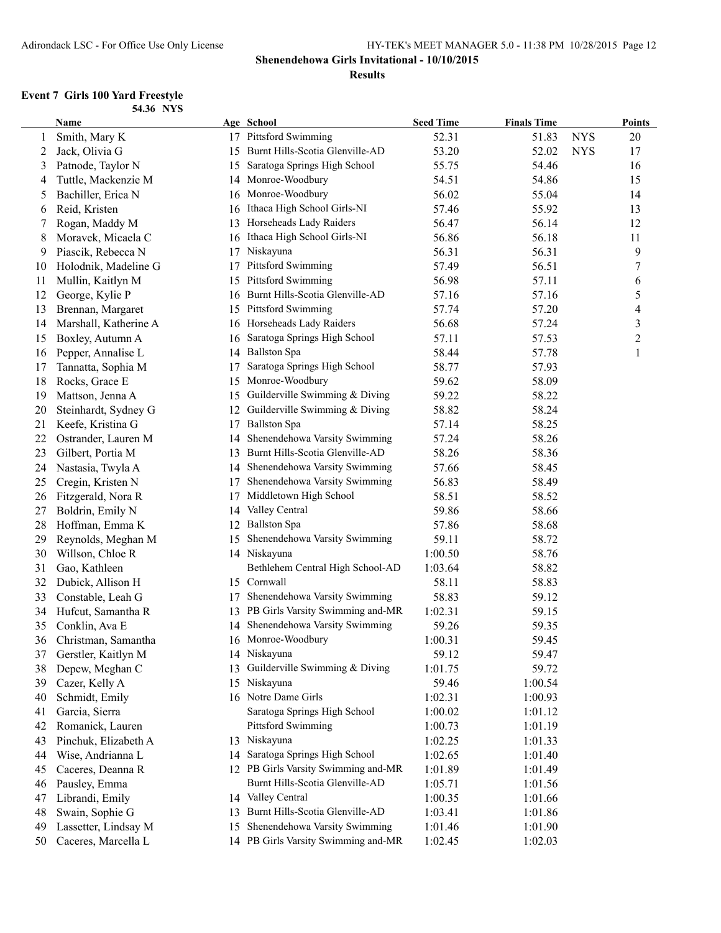### **Shenendehowa Girls Invitational - 10/10/2015**

#### **Results**

#### **Event 7 Girls 100 Yard Freestyle 54.36 NYS**

|    | Name                   |    | Age School                          | <b>Seed Time</b> | <b>Finals Time</b> |            | <b>Points</b>  |
|----|------------------------|----|-------------------------------------|------------------|--------------------|------------|----------------|
| 1  | Smith, Mary K          |    | 17 Pittsford Swimming               | 52.31            | 51.83              | <b>NYS</b> | 20             |
| 2  | Jack, Olivia G         |    | 15 Burnt Hills-Scotia Glenville-AD  | 53.20            | 52.02              | <b>NYS</b> | 17             |
| 3  | Patnode, Taylor N      | 15 | Saratoga Springs High School        | 55.75            | 54.46              |            | 16             |
| 4  | Tuttle, Mackenzie M    |    | 14 Monroe-Woodbury                  | 54.51            | 54.86              |            | 15             |
| 5  | Bachiller, Erica N     |    | 16 Monroe-Woodbury                  | 56.02            | 55.04              |            | 14             |
| 6  | Reid, Kristen          | 16 | Ithaca High School Girls-NI         | 57.46            | 55.92              |            | 13             |
| 7  | Rogan, Maddy M         | 13 | Horseheads Lady Raiders             | 56.47            | 56.14              |            | 12             |
| 8  | Moravek, Micaela C     | 16 | Ithaca High School Girls-NI         | 56.86            | 56.18              |            | 11             |
| 9  | Piascik, Rebecca N     | 17 | Niskayuna                           | 56.31            | 56.31              |            | 9              |
| 10 | Holodnik, Madeline G   | 17 | Pittsford Swimming                  | 57.49            | 56.51              |            | $\tau$         |
| 11 | Mullin, Kaitlyn M      | 15 | <b>Pittsford Swimming</b>           | 56.98            | 57.11              |            | 6              |
| 12 | George, Kylie P        |    | 16 Burnt Hills-Scotia Glenville-AD  | 57.16            | 57.16              |            | 5              |
| 13 | Brennan, Margaret      |    | 15 Pittsford Swimming               | 57.74            | 57.20              |            | $\overline{4}$ |
| 14 | Marshall, Katherine A  |    | 16 Horseheads Lady Raiders          | 56.68            | 57.24              |            | 3              |
| 15 | Boxley, Autumn A       | 16 | Saratoga Springs High School        | 57.11            | 57.53              |            | $\overline{c}$ |
| 16 | Pepper, Annalise L     |    | 14 Ballston Spa                     | 58.44            | 57.78              |            | $\mathbf{1}$   |
| 17 | Tannatta, Sophia M     | 17 | Saratoga Springs High School        | 58.77            | 57.93              |            |                |
| 18 | Rocks, Grace E         |    | 15 Monroe-Woodbury                  | 59.62            | 58.09              |            |                |
| 19 | Mattson, Jenna A       | 15 | Guilderville Swimming & Diving      | 59.22            | 58.22              |            |                |
| 20 | Steinhardt, Sydney G   |    | 12 Guilderville Swimming & Diving   | 58.82            | 58.24              |            |                |
| 21 | Keefe, Kristina G      | 17 | <b>Ballston Spa</b>                 | 57.14            | 58.25              |            |                |
| 22 | Ostrander, Lauren M    | 14 | Shenendehowa Varsity Swimming       | 57.24            | 58.26              |            |                |
| 23 | Gilbert, Portia M      | 13 | Burnt Hills-Scotia Glenville-AD     | 58.26            | 58.36              |            |                |
| 24 | Nastasia, Twyla A      |    | 14 Shenendehowa Varsity Swimming    | 57.66            | 58.45              |            |                |
| 25 | Cregin, Kristen N      | 17 | Shenendehowa Varsity Swimming       | 56.83            | 58.49              |            |                |
| 26 | Fitzgerald, Nora R     | 17 | Middletown High School              | 58.51            | 58.52              |            |                |
| 27 | Boldrin, Emily N       | 14 | Valley Central                      | 59.86            | 58.66              |            |                |
| 28 | Hoffman, Emma K        | 12 | <b>Ballston Spa</b>                 | 57.86            | 58.68              |            |                |
| 29 | Reynolds, Meghan M     | 15 | Shenendehowa Varsity Swimming       | 59.11            | 58.72              |            |                |
| 30 | Willson, Chloe R       |    | 14 Niskayuna                        | 1:00.50          | 58.76              |            |                |
| 31 | Gao, Kathleen          |    | Bethlehem Central High School-AD    | 1:03.64          | 58.82              |            |                |
| 32 | Dubick, Allison H      |    | 15 Cornwall                         | 58.11            | 58.83              |            |                |
| 33 | Constable, Leah G      | 17 | Shenendehowa Varsity Swimming       | 58.83            | 59.12              |            |                |
| 34 | Hufcut, Samantha R     |    | 13 PB Girls Varsity Swimming and-MR | 1:02.31          | 59.15              |            |                |
| 35 | Conklin, Ava E         |    | 14 Shenendehowa Varsity Swimming    | 59.26            | 59.35              |            |                |
|    | 36 Christman, Samantha |    | 16 Monroe-Woodbury                  | 1:00.31          | 59.45              |            |                |
| 37 | Gerstler, Kaitlyn M    |    | 14 Niskayuna                        | 59.12            | 59.47              |            |                |
| 38 | Depew, Meghan C        | 13 | Guilderville Swimming & Diving      | 1:01.75          | 59.72              |            |                |
| 39 | Cazer, Kelly A         |    | 15 Niskayuna                        | 59.46            | 1:00.54            |            |                |
| 40 | Schmidt, Emily         |    | 16 Notre Dame Girls                 | 1:02.31          | 1:00.93            |            |                |
| 41 | Garcia, Sierra         |    | Saratoga Springs High School        | 1:00.02          | 1:01.12            |            |                |
| 42 | Romanick, Lauren       |    | <b>Pittsford Swimming</b>           | 1:00.73          | 1:01.19            |            |                |
| 43 | Pinchuk, Elizabeth A   |    | 13 Niskayuna                        | 1:02.25          | 1:01.33            |            |                |
| 44 | Wise, Andrianna L      | 14 | Saratoga Springs High School        | 1:02.65          | 1:01.40            |            |                |
| 45 | Caceres, Deanna R      |    | 12 PB Girls Varsity Swimming and-MR | 1:01.89          | 1:01.49            |            |                |
| 46 | Pausley, Emma          |    | Burnt Hills-Scotia Glenville-AD     | 1:05.71          | 1:01.56            |            |                |
| 47 | Librandi, Emily        |    | 14 Valley Central                   | 1:00.35          | 1:01.66            |            |                |
| 48 | Swain, Sophie G        | 13 | Burnt Hills-Scotia Glenville-AD     | 1:03.41          | 1:01.86            |            |                |
| 49 | Lassetter, Lindsay M   | 15 | Shenendehowa Varsity Swimming       | 1:01.46          | 1:01.90            |            |                |
| 50 | Caceres, Marcella L    |    | 14 PB Girls Varsity Swimming and-MR | 1:02.45          | 1:02.03            |            |                |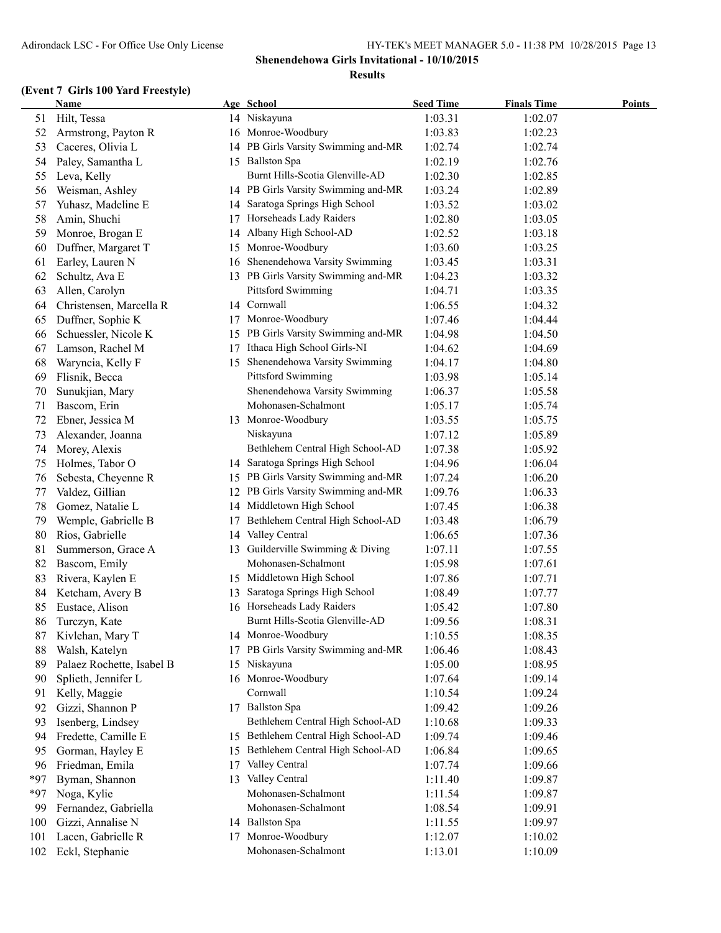|            | <b>Name</b>               |    | Age School                          | <b>Seed Time</b>   | <b>Finals Time</b> | <b>Points</b> |
|------------|---------------------------|----|-------------------------------------|--------------------|--------------------|---------------|
| 51         | Hilt, Tessa               |    | 14 Niskayuna                        | 1:03.31            | 1:02.07            |               |
| 52         | Armstrong, Payton R       |    | 16 Monroe-Woodbury                  | 1:03.83            | 1:02.23            |               |
| 53         | Caceres, Olivia L         |    | 14 PB Girls Varsity Swimming and-MR | 1:02.74            | 1:02.74            |               |
| 54         | Paley, Samantha L         |    | 15 Ballston Spa                     | 1:02.19            | 1:02.76            |               |
| 55         | Leva, Kelly               |    | Burnt Hills-Scotia Glenville-AD     | 1:02.30            | 1:02.85            |               |
| 56         | Weisman, Ashley           |    | 14 PB Girls Varsity Swimming and-MR | 1:03.24            | 1:02.89            |               |
| 57         | Yuhasz, Madeline E        | 14 | Saratoga Springs High School        | 1:03.52            | 1:03.02            |               |
| 58         | Amin, Shuchi              | 17 | Horseheads Lady Raiders             | 1:02.80            | 1:03.05            |               |
| 59         | Monroe, Brogan E          | 14 | Albany High School-AD               | 1:02.52            | 1:03.18            |               |
| 60         | Duffner, Margaret T       | 15 | Monroe-Woodbury                     | 1:03.60            | 1:03.25            |               |
| 61         | Earley, Lauren N          | 16 | Shenendehowa Varsity Swimming       | 1:03.45            | 1:03.31            |               |
| 62         | Schultz, Ava E            |    | 13 PB Girls Varsity Swimming and-MR | 1:04.23            | 1:03.32            |               |
| 63         | Allen, Carolyn            |    | <b>Pittsford Swimming</b>           | 1:04.71            | 1:03.35            |               |
| 64         | Christensen, Marcella R   |    | 14 Cornwall                         | 1:06.55            | 1:04.32            |               |
| 65         | Duffner, Sophie K         | 17 | Monroe-Woodbury                     | 1:07.46            | 1:04.44            |               |
| 66         | Schuessler, Nicole K      |    | 15 PB Girls Varsity Swimming and-MR | 1:04.98            | 1:04.50            |               |
| 67         | Lamson, Rachel M          | 17 | Ithaca High School Girls-NI         | 1:04.62            | 1:04.69            |               |
| 68         | Waryncia, Kelly F         | 15 | Shenendehowa Varsity Swimming       | 1:04.17            | 1:04.80            |               |
| 69         | Flisnik, Becca            |    | Pittsford Swimming                  | 1:03.98            | 1:05.14            |               |
| 70         | Sunukjian, Mary           |    | Shenendehowa Varsity Swimming       | 1:06.37            | 1:05.58            |               |
| 71         | Bascom, Erin              |    | Mohonasen-Schalmont                 | 1:05.17            | 1:05.74            |               |
| 72         | Ebner, Jessica M          |    | 13 Monroe-Woodbury                  | 1:03.55            | 1:05.75            |               |
| 73         | Alexander, Joanna         |    | Niskayuna                           | 1:07.12            | 1:05.89            |               |
| 74         | Morey, Alexis             |    | Bethlehem Central High School-AD    | 1:07.38            | 1:05.92            |               |
| 75         | Holmes, Tabor O           |    | 14 Saratoga Springs High School     | 1:04.96            | 1:06.04            |               |
| 76         | Sebesta, Cheyenne R       |    | 15 PB Girls Varsity Swimming and-MR | 1:07.24            | 1:06.20            |               |
| 77         | Valdez, Gillian           | 12 | PB Girls Varsity Swimming and-MR    | 1:09.76            | 1:06.33            |               |
| 78         | Gomez, Natalie L          |    | 14 Middletown High School           | 1:07.45            | 1:06.38            |               |
| 79         | Wemple, Gabrielle B       | 17 | Bethlehem Central High School-AD    | 1:03.48            | 1:06.79            |               |
| 80         | Rios, Gabrielle           |    | 14 Valley Central                   | 1:06.65            | 1:07.36            |               |
| 81         | Summerson, Grace A        |    | 13 Guilderville Swimming & Diving   | 1:07.11            | 1:07.55            |               |
| 82         | Bascom, Emily             |    | Mohonasen-Schalmont                 | 1:05.98            | 1:07.61            |               |
| 83         | Rivera, Kaylen E          |    | 15 Middletown High School           | 1:07.86            | 1:07.71            |               |
| 84         | Ketcham, Avery B          | 13 | Saratoga Springs High School        | 1:08.49            | 1:07.77            |               |
| 85         | Eustace, Alison           |    | 16 Horseheads Lady Raiders          | 1:05.42            | 1:07.80            |               |
| 86         | Turczyn, Kate             |    | Burnt Hills-Scotia Glenville-AD     | 1:09.56            | 1:08.31            |               |
| 87         | Kivlehan, Mary T          |    | 14 Monroe-Woodbury                  | 1:10.55            | 1:08.35            |               |
| 88         | Walsh, Katelyn            | 17 | PB Girls Varsity Swimming and-MR    | 1:06.46            | 1:08.43            |               |
| 89         | Palaez Rochette, Isabel B | 15 | Niskayuna                           | 1:05.00            | 1:08.95            |               |
| 90         | Splieth, Jennifer L       |    | 16 Monroe-Woodbury                  | 1:07.64            | 1:09.14            |               |
| 91         | Kelly, Maggie             |    | Cornwall                            | 1:10.54            | 1:09.24            |               |
| 92         | Gizzi, Shannon P          |    | 17 Ballston Spa                     | 1:09.42            | 1:09.26            |               |
| 93         | Isenberg, Lindsey         |    | Bethlehem Central High School-AD    | 1:10.68            | 1:09.33            |               |
| 94         | Fredette, Camille E       |    | 15 Bethlehem Central High School-AD | 1:09.74            | 1:09.46            |               |
| 95         | Gorman, Hayley E          | 15 | Bethlehem Central High School-AD    | 1:06.84            | 1:09.65            |               |
| 96         | Friedman, Emila           | 17 | Valley Central                      | 1:07.74            | 1:09.66            |               |
| *97        | Byman, Shannon            | 13 | Valley Central                      | 1:11.40            | 1:09.87            |               |
| $*97$      | Noga, Kylie               |    | Mohonasen-Schalmont                 | 1:11.54            | 1:09.87            |               |
| 99         | Fernandez, Gabriella      |    | Mohonasen-Schalmont                 | 1:08.54            | 1:09.91            |               |
|            | Gizzi, Annalise N         |    | 14 Ballston Spa                     |                    | 1:09.97            |               |
| 100<br>101 | Lacen, Gabrielle R        | 17 | Monroe-Woodbury                     | 1:11.55<br>1:12.07 | 1:10.02            |               |
|            |                           |    | Mohonasen-Schalmont                 |                    |                    |               |
| 102        | Eckl, Stephanie           |    |                                     | 1:13.01            | 1:10.09            |               |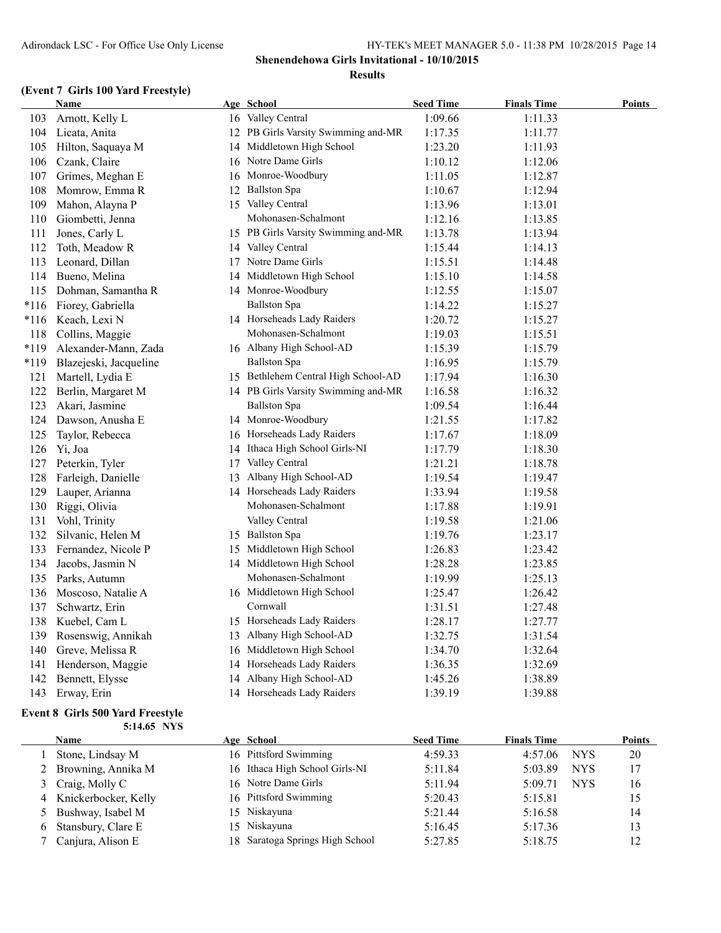### **(Event 7 Girls 100 Yard Freestyle)**

|      | Name                   |    | Age School                          | <b>Seed Time</b> | <b>Finals Time</b> | <b>Points</b> |
|------|------------------------|----|-------------------------------------|------------------|--------------------|---------------|
| 103  | Arnott, Kelly L        |    | 16 Valley Central                   | 1:09.66          | 1:11.33            |               |
| 104  | Licata, Anita          |    | 12 PB Girls Varsity Swimming and-MR | 1:17.35          | 1:11.77            |               |
| 105  | Hilton, Saquaya M      |    | 14 Middletown High School           | 1:23.20          | 1:11.93            |               |
| 106  | Czank, Claire          |    | 16 Notre Dame Girls                 | 1:10.12          | 1:12.06            |               |
| 107  | Grimes, Meghan E       |    | 16 Monroe-Woodbury                  | 1:11.05          | 1:12.87            |               |
| 108  | Momrow, Emma R         |    | 12 Ballston Spa                     | 1:10.67          | 1:12.94            |               |
| 109  | Mahon, Alayna P        |    | 15 Valley Central                   | 1:13.96          | 1:13.01            |               |
| 110  | Giombetti, Jenna       |    | Mohonasen-Schalmont                 | 1:12.16          | 1:13.85            |               |
| 111  | Jones, Carly L         |    | 15 PB Girls Varsity Swimming and-MR | 1:13.78          | 1:13.94            |               |
| 112  | Toth, Meadow R         |    | 14 Valley Central                   | 1:15.44          | 1:14.13            |               |
| 113  | Leonard, Dillan        |    | 17 Notre Dame Girls                 | 1:15.51          | 1:14.48            |               |
| 114  | Bueno, Melina          |    | 14 Middletown High School           | 1:15.10          | 1:14.58            |               |
| 115  | Dohman, Samantha R     |    | 14 Monroe-Woodbury                  | 1:12.55          | 1:15.07            |               |
| *116 | Fiorey, Gabriella      |    | <b>Ballston Spa</b>                 | 1:14.22          | 1:15.27            |               |
| *116 | Keach, Lexi N          |    | 14 Horseheads Lady Raiders          | 1:20.72          | 1:15.27            |               |
| 118  | Collins, Maggie        |    | Mohonasen-Schalmont                 | 1:19.03          | 1:15.51            |               |
| *119 | Alexander-Mann, Zada   |    | 16 Albany High School-AD            | 1:15.39          | 1:15.79            |               |
| *119 | Blazejeski, Jacqueline |    | <b>Ballston Spa</b>                 | 1:16.95          | 1:15.79            |               |
| 121  | Martell, Lydia E       |    | 15 Bethlehem Central High School-AD | 1:17.94          | 1:16.30            |               |
| 122  | Berlin, Margaret M     |    | 14 PB Girls Varsity Swimming and-MR | 1:16.58          | 1:16.32            |               |
| 123  | Akari, Jasmine         |    | <b>Ballston Spa</b>                 | 1:09.54          | 1:16.44            |               |
| 124  | Dawson, Anusha E       |    | 14 Monroe-Woodbury                  | 1:21.55          | 1:17.82            |               |
| 125  | Taylor, Rebecca        |    | 16 Horseheads Lady Raiders          | 1:17.67          | 1:18.09            |               |
| 126  | Yi, Joa                |    | 14 Ithaca High School Girls-NI      | 1:17.79          | 1:18.30            |               |
| 127  | Peterkin, Tyler        | 17 | Valley Central                      | 1:21.21          | 1:18.78            |               |
| 128  | Farleigh, Danielle     |    | 13 Albany High School-AD            | 1:19.54          | 1:19.47            |               |
| 129  | Lauper, Arianna        |    | 14 Horseheads Lady Raiders          | 1:33.94          | 1:19.58            |               |
| 130  | Riggi, Olivia          |    | Mohonasen-Schalmont                 | 1:17.88          | 1:19.91            |               |
| 131  | Vohl, Trinity          |    | Valley Central                      | 1:19.58          | 1:21.06            |               |
| 132  | Silvanic, Helen M      |    | 15 Ballston Spa                     | 1:19.76          | 1:23.17            |               |
| 133  | Fernandez, Nicole P    |    | 15 Middletown High School           | 1:26.83          | 1:23.42            |               |
| 134  | Jacobs, Jasmin N       |    | 14 Middletown High School           | 1:28.28          | 1:23.85            |               |
| 135  | Parks, Autumn          |    | Mohonasen-Schalmont                 | 1:19.99          | 1:25.13            |               |
| 136  | Moscoso, Natalie A     |    | 16 Middletown High School           | 1:25.47          | 1:26.42            |               |
| 137  | Schwartz, Erin         |    | Cornwall                            | 1:31.51          | 1:27.48            |               |
| 138  | Kuebel, Cam L          |    | 15 Horseheads Lady Raiders          | 1:28.17          | 1:27.77            |               |
| 139  | Rosenswig, Annikah     |    | 13 Albany High School-AD            | 1:32.75          | 1:31.54            |               |
| 140  | Greve, Melissa R       |    | 16 Middletown High School           | 1:34.70          | 1:32.64            |               |
| 141  | Henderson, Maggie      | 14 | Horseheads Lady Raiders             | 1:36.35          | 1:32.69            |               |
| 142  | Bennett, Elysse        |    | 14 Albany High School-AD            | 1:45.26          | 1:38.89            |               |
|      | 143 Erway, Erin        |    | 14 Horseheads Lady Raiders          | 1:39.19          | 1:39.88            |               |

#### **Event 8 Girls 500 Yard Freestyle 5:14.65 NYS**

| <b>Name</b>            | Age School                      | <b>Seed Time</b> | <b>Finals Time</b> |            | <b>Points</b> |
|------------------------|---------------------------------|------------------|--------------------|------------|---------------|
| Stone, Lindsay M       | 16 Pittsford Swimming           | 4:59.33          | 4:57.06            | <b>NYS</b> | 20            |
| 2 Browning, Annika M   | 16 Ithaca High School Girls-NI  | 5:11.84          | 5:03.89            | <b>NYS</b> | 17            |
| 3 Craig, Molly C       | 16 Notre Dame Girls             | 5:11.94          | 5:09.71            | <b>NYS</b> | 16            |
| 4 Knickerbocker, Kelly | 16 Pittsford Swimming           | 5:20.43          | 5:15.81            |            | 15            |
| 5 Bushway, Isabel M    | 15 Niskayuna                    | 5:21.44          | 5:16.58            |            | 14            |
| Stansbury, Clare E     | 15 Niskayuna                    | 5:16.45          | 5:17.36            |            | 13            |
| Canjura, Alison E      | 18 Saratoga Springs High School | 5:27.85          | 5:18.75            |            | 12            |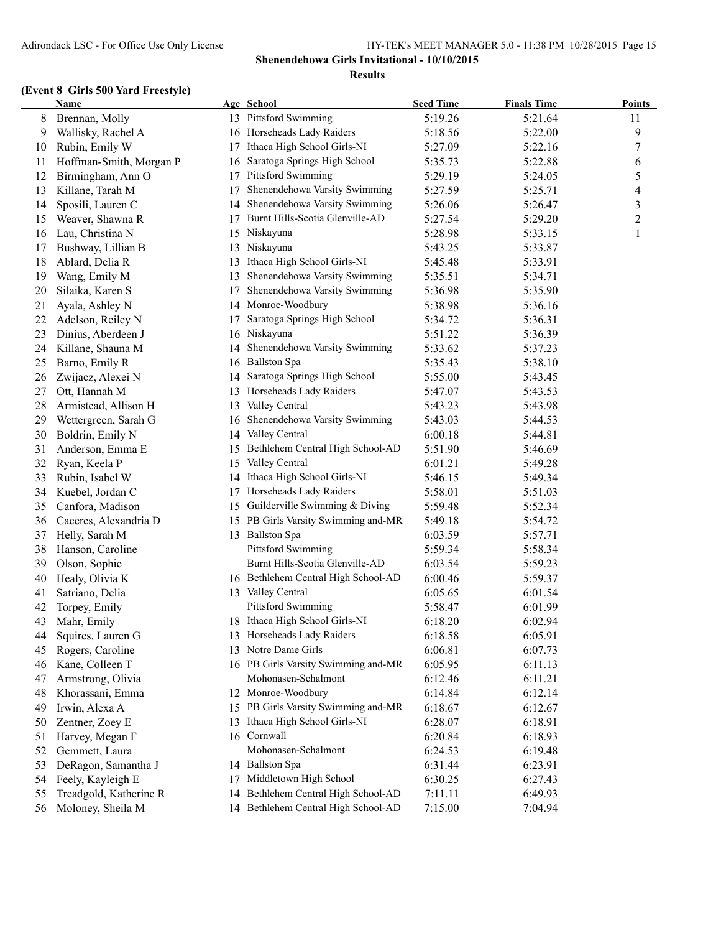|    | <b>Name</b>             |    | Age School                          | <b>Seed Time</b> | <b>Finals Time</b> | <b>Points</b> |
|----|-------------------------|----|-------------------------------------|------------------|--------------------|---------------|
| 8  | Brennan, Molly          |    | 13 Pittsford Swimming               | 5:19.26          | 5:21.64            | 11            |
| 9  | Wallisky, Rachel A      |    | 16 Horseheads Lady Raiders          | 5:18.56          | 5:22.00            | 9             |
| 10 | Rubin, Emily W          | 17 | Ithaca High School Girls-NI         | 5:27.09          | 5:22.16            | 7             |
| 11 | Hoffman-Smith, Morgan P | 16 | Saratoga Springs High School        | 5:35.73          | 5:22.88            | 6             |
| 12 | Birmingham, Ann O       | 17 | Pittsford Swimming                  | 5:29.19          | 5:24.05            | 5             |
| 13 | Killane, Tarah M        | 17 | Shenendehowa Varsity Swimming       | 5:27.59          | 5:25.71            | 4             |
| 14 | Sposili, Lauren C       | 14 | Shenendehowa Varsity Swimming       | 5:26.06          | 5:26.47            | 3             |
| 15 | Weaver, Shawna R        | 17 | Burnt Hills-Scotia Glenville-AD     | 5:27.54          | 5:29.20            | 2             |
| 16 | Lau, Christina N        | 15 | Niskayuna                           | 5:28.98          | 5:33.15            | 1             |
| 17 | Bushway, Lillian B      | 13 | Niskayuna                           | 5:43.25          | 5:33.87            |               |
| 18 | Ablard, Delia R         | 13 | Ithaca High School Girls-NI         | 5:45.48          | 5:33.91            |               |
| 19 | Wang, Emily M           | 13 | Shenendehowa Varsity Swimming       | 5:35.51          | 5:34.71            |               |
| 20 | Silaika, Karen S        | 17 | Shenendehowa Varsity Swimming       | 5:36.98          | 5:35.90            |               |
| 21 | Ayala, Ashley N         |    | 14 Monroe-Woodbury                  | 5:38.98          | 5:36.16            |               |
| 22 | Adelson, Reiley N       | 17 | Saratoga Springs High School        | 5:34.72          | 5:36.31            |               |
| 23 | Dinius, Aberdeen J      |    | 16 Niskayuna                        | 5:51.22          | 5:36.39            |               |
| 24 | Killane, Shauna M       | 14 | Shenendehowa Varsity Swimming       | 5:33.62          | 5:37.23            |               |
| 25 | Barno, Emily R          |    | 16 Ballston Spa                     | 5:35.43          | 5:38.10            |               |
| 26 | Zwijacz, Alexei N       | 14 | Saratoga Springs High School        | 5:55.00          | 5:43.45            |               |
| 27 | Ott, Hannah M           | 13 | Horseheads Lady Raiders             | 5:47.07          | 5:43.53            |               |
| 28 | Armistead, Allison H    | 13 | Valley Central                      | 5:43.23          | 5:43.98            |               |
| 29 | Wettergreen, Sarah G    |    | 16 Shenendehowa Varsity Swimming    | 5:43.03          | 5:44.53            |               |
| 30 | Boldrin, Emily N        | 14 | Valley Central                      | 6:00.18          | 5:44.81            |               |
| 31 | Anderson, Emma E        | 15 | Bethlehem Central High School-AD    | 5:51.90          | 5:46.69            |               |
| 32 | Ryan, Keela P           | 15 | Valley Central                      | 6:01.21          | 5:49.28            |               |
| 33 | Rubin, Isabel W         |    | 14 Ithaca High School Girls-NI      | 5:46.15          | 5:49.34            |               |
| 34 | Kuebel, Jordan C        | 17 | Horseheads Lady Raiders             | 5:58.01          | 5:51.03            |               |
| 35 | Canfora, Madison        |    | 15 Guilderville Swimming & Diving   | 5:59.48          | 5:52.34            |               |
| 36 | Caceres, Alexandria D   |    | 15 PB Girls Varsity Swimming and-MR | 5:49.18          | 5:54.72            |               |
| 37 | Helly, Sarah M          |    | 13 Ballston Spa                     | 6:03.59          | 5:57.71            |               |
| 38 | Hanson, Caroline        |    | Pittsford Swimming                  | 5:59.34          | 5:58.34            |               |
| 39 | Olson, Sophie           |    | Burnt Hills-Scotia Glenville-AD     | 6:03.54          | 5:59.23            |               |
| 40 | Healy, Olivia K         |    | 16 Bethlehem Central High School-AD | 6:00.46          | 5:59.37            |               |
| 41 | Satriano, Delia         |    | 13 Valley Central                   | 6:05.65          | 6:01.54            |               |
| 42 | Torpey, Emily           |    | <b>Pittsford Swimming</b>           | 5:58.47          | 6:01.99            |               |
| 43 | Mahr, Emily             |    | 18 Ithaca High School Girls-NI      | 6:18.20          | 6:02.94            |               |
| 44 | Squires, Lauren G       |    | 13 Horseheads Lady Raiders          | 6:18.58          | 6:05.91            |               |
| 45 | Rogers, Caroline        | 13 | Notre Dame Girls                    | 6:06.81          | 6:07.73            |               |
| 46 | Kane, Colleen T         |    | 16 PB Girls Varsity Swimming and-MR | 6:05.95          | 6:11.13            |               |
| 47 | Armstrong, Olivia       |    | Mohonasen-Schalmont                 | 6:12.46          | 6:11.21            |               |
| 48 | Khorassani, Emma        |    | 12 Monroe-Woodbury                  | 6:14.84          | 6:12.14            |               |
| 49 | Irwin, Alexa A          |    | 15 PB Girls Varsity Swimming and-MR | 6:18.67          | 6:12.67            |               |
| 50 | Zentner, Zoey E         | 13 | Ithaca High School Girls-NI         | 6:28.07          | 6:18.91            |               |
| 51 | Harvey, Megan F         |    | 16 Cornwall                         | 6:20.84          | 6:18.93            |               |
| 52 | Gemmett, Laura          |    | Mohonasen-Schalmont                 | 6:24.53          | 6:19.48            |               |
| 53 | DeRagon, Samantha J     |    | 14 Ballston Spa                     | 6:31.44          | 6:23.91            |               |
| 54 | Feely, Kayleigh E       | 17 | Middletown High School              | 6:30.25          | 6:27.43            |               |
| 55 | Treadgold, Katherine R  | 14 | Bethlehem Central High School-AD    | 7:11.11          | 6:49.93            |               |
| 56 | Moloney, Sheila M       |    | 14 Bethlehem Central High School-AD | 7:15.00          | 7:04.94            |               |
|    |                         |    |                                     |                  |                    |               |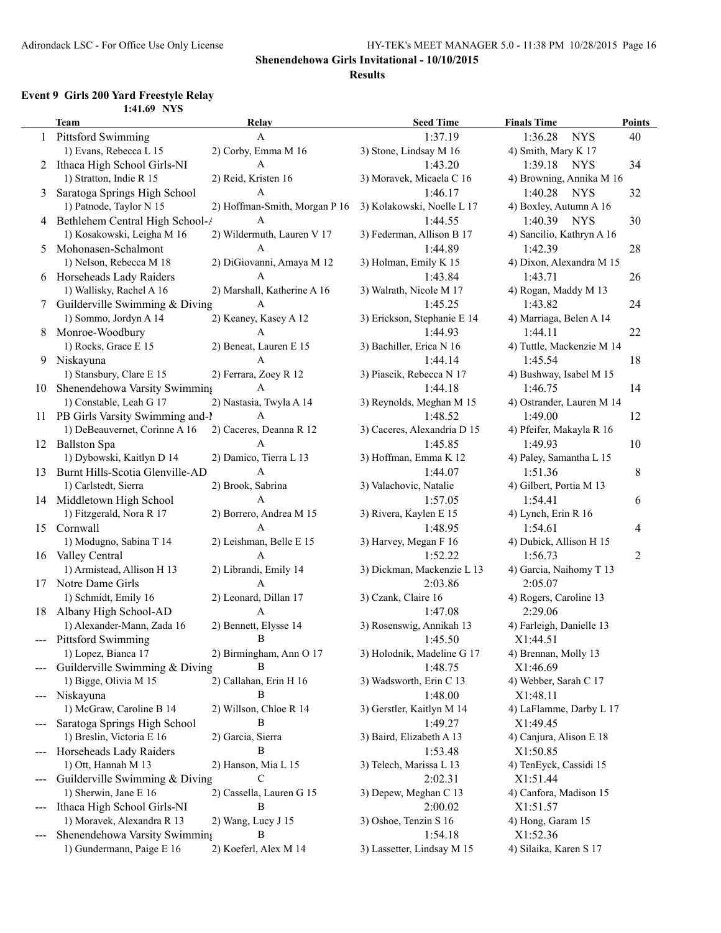### **Shenendehowa Girls Invitational - 10/10/2015**

#### **Results**

# **Event 9 Girls 200 Yard Freestyle Relay**

|                 | 1:41.69 NYS                        |                               |                             |                           |                |
|-----------------|------------------------------------|-------------------------------|-----------------------------|---------------------------|----------------|
|                 | <b>Team</b>                        | Relay                         | <b>Seed Time</b>            | <b>Finals Time</b>        | <b>Points</b>  |
|                 | 1 Pittsford Swimming               | $\mathbf{A}$                  | 1:37.19                     | 1:36.28<br><b>NYS</b>     | 40             |
|                 | 1) Evans, Rebecca L 15             | 2) Corby, Emma M 16           | 3) Stone, Lindsay M 16      | 4) Smith, Mary K 17       |                |
|                 | 2 Ithaca High School Girls-NI      | A                             | 1:43.20                     | 1:39.18<br><b>NYS</b>     | 34             |
|                 | 1) Stratton, Indie R 15            | 2) Reid, Kristen 16           | 3) Moravek, Micaela C 16    | 4) Browning, Annika M 16  |                |
| 3               | Saratoga Springs High School       | A                             | 1:46.17                     | 1:40.28<br><b>NYS</b>     | 32             |
|                 | 1) Patnode, Taylor N 15            | 2) Hoffman-Smith, Morgan P 16 | 3) Kolakowski, Noelle L 17  | 4) Boxley, Autumn A 16    |                |
|                 | 4 Bethlehem Central High School-/  | A                             | 1:44.55                     | 1:40.39<br><b>NYS</b>     | 30             |
|                 | 1) Kosakowski, Leigha M 16         | 2) Wildermuth, Lauren V 17    | 3) Federman, Allison B 17   | 4) Sancilio, Kathryn A 16 |                |
| 5               | Mohonasen-Schalmont                | A                             | 1:44.89                     | 1:42.39                   | 28             |
|                 | 1) Nelson, Rebecca M 18            | 2) DiGiovanni, Amaya M 12     | 3) Holman, Emily K 15       | 4) Dixon, Alexandra M 15  |                |
|                 | 6 Horseheads Lady Raiders          | A                             | 1:43.84                     | 1:43.71                   | 26             |
|                 | 1) Wallisky, Rachel A 16           | 2) Marshall, Katherine A 16   | 3) Walrath, Nicole M 17     | 4) Rogan, Maddy M 13      |                |
| $7\phantom{.0}$ | Guilderville Swimming & Diving     | A                             | 1:45.25                     | 1:43.82                   | 24             |
|                 | 1) Sommo, Jordyn A 14              | 2) Keaney, Kasey A 12         | 3) Erickson, Stephanie E 14 | 4) Marriaga, Belen A 14   |                |
| 8               | Monroe-Woodbury                    | A                             | 1:44.93                     | 1:44.11                   | 22             |
|                 | 1) Rocks, Grace E 15               | 2) Beneat, Lauren E 15        | 3) Bachiller, Erica N 16    | 4) Tuttle, Mackenzie M 14 |                |
|                 | 9 Niskayuna                        | $\mathbf{A}$                  | 1:44.14                     | 1:45.54                   | 18             |
|                 | 1) Stansbury, Clare E 15           | 2) Ferrara, Zoey R 12         | 3) Piascik, Rebecca N 17    | 4) Bushway, Isabel M 15   |                |
| 10              | Shenendehowa Varsity Swimming      | $\mathbf{A}$                  | 1:44.18                     | 1:46.75                   | 14             |
|                 | 1) Constable, Leah G 17            | 2) Nastasia, Twyla A 14       | 3) Reynolds, Meghan M 15    | 4) Ostrander, Lauren M 14 |                |
|                 | 11 PB Girls Varsity Swimming and-1 | A                             | 1:48.52                     | 1:49.00                   | 12             |
|                 | 1) DeBeauvernet, Corinne A 16      | 2) Caceres, Deanna R 12       | 3) Caceres, Alexandria D 15 | 4) Pfeifer, Makayla R 16  |                |
|                 | 12 Ballston Spa                    | A                             | 1:45.85                     | 1:49.93                   | 10             |
|                 | 1) Dybowski, Kaitlyn D 14          | 2) Damico, Tierra L 13        | 3) Hoffman, Emma K 12       | 4) Paley, Samantha L 15   |                |
| 13              | Burnt Hills-Scotia Glenville-AD    | $\mathbf{A}$                  | 1:44.07                     | 1:51.36                   | $\,8\,$        |
|                 | 1) Carlstedt, Sierra               | 2) Brook, Sabrina             | 3) Valachovic, Natalie      | 4) Gilbert, Portia M 13   |                |
|                 | 14 Middletown High School          | A                             | 1:57.05                     | 1:54.41                   | 6              |
|                 | 1) Fitzgerald, Nora R 17           | 2) Borrero, Andrea M 15       | 3) Rivera, Kaylen E 15      | 4) Lynch, Erin R 16       |                |
|                 | 15 Cornwall                        | $\mathbf{A}$                  | 1:48.95                     | 1:54.61                   | 4              |
|                 | 1) Modugno, Sabina T 14            | 2) Leishman, Belle E 15       | 3) Harvey, Megan F 16       | 4) Dubick, Allison H 15   |                |
|                 | 16 Valley Central                  | $\mathbf{A}$                  | 1:52.22                     | 1:56.73                   | $\overline{2}$ |
|                 | 1) Armistead, Allison H 13         | 2) Librandi, Emily 14         | 3) Dickman, Mackenzie L 13  | 4) Garcia, Naihomy T 13   |                |
|                 | 17 Notre Dame Girls                | $\mathbf{A}$                  | 2:03.86                     | 2:05.07                   |                |
|                 | 1) Schmidt, Emily 16               | 2) Leonard, Dillan 17         | 3) Czank, Claire 16         | 4) Rogers, Caroline 13    |                |
| 18              | Albany High School-AD              | A                             | 1:47.08                     | 2:29.06                   |                |
|                 | 1) Alexander-Mann, Zada 16         | 2) Bennett, Elysse 14         | 3) Rosenswig, Annikah 13    | 4) Farleigh, Danielle 13  |                |
|                 | <b>Pittsford Swimming</b>          | B                             | 1:45.50                     | X1:44.51                  |                |
|                 | 1) Lopez, Bianca 17                | 2) Birmingham, Ann O 17       | 3) Holodnik, Madeline G 17  | 4) Brennan, Molly 13      |                |
|                 | Guilderville Swimming & Diving     | В                             | 1:48.75                     | X1:46.69                  |                |
|                 | 1) Bigge, Olivia M 15              | 2) Callahan, Erin H 16        | 3) Wadsworth, Erin C 13     | 4) Webber, Sarah C 17     |                |
|                 | --- Niskayuna                      | В                             | 1:48.00                     | X1:48.11                  |                |
|                 | 1) McGraw, Caroline B 14           | 2) Willson, Chloe R 14        | 3) Gerstler, Kaitlyn M 14   | 4) LaFlamme, Darby L 17   |                |
|                 | Saratoga Springs High School       | В                             | 1:49.27                     | X1:49.45                  |                |
|                 | 1) Breslin, Victoria E 16          | 2) Garcia, Sierra             | 3) Baird, Elizabeth A 13    | 4) Canjura, Alison E 18   |                |
|                 | Horseheads Lady Raiders            | В                             | 1:53.48                     | X1:50.85                  |                |
|                 | 1) Ott, Hannah M 13                | 2) Hanson, Mia L 15           | 3) Telech, Marissa L 13     | 4) TenEyck, Cassidi 15    |                |
|                 | Guilderville Swimming & Diving     | C                             | 2:02.31                     | X1:51.44                  |                |
|                 | 1) Sherwin, Jane E 16              | 2) Cassella, Lauren G 15      | 3) Depew, Meghan C 13       | 4) Canfora, Madison 15    |                |
|                 | Ithaca High School Girls-NI        | В                             | 2:00.02                     | X1:51.57                  |                |
|                 | 1) Moravek, Alexandra R 13         | 2) Wang, Lucy J 15            | 3) Oshoe, Tenzin S 16       | 4) Hong, Garam 15         |                |
|                 | Shenendehowa Varsity Swimming      | В                             | 1:54.18                     | X1:52.36                  |                |
|                 | 1) Gundermann, Paige E 16          | 2) Koeferl, Alex M 14         | 3) Lassetter, Lindsay M 15  | 4) Silaika, Karen S 17    |                |
|                 |                                    |                               |                             |                           |                |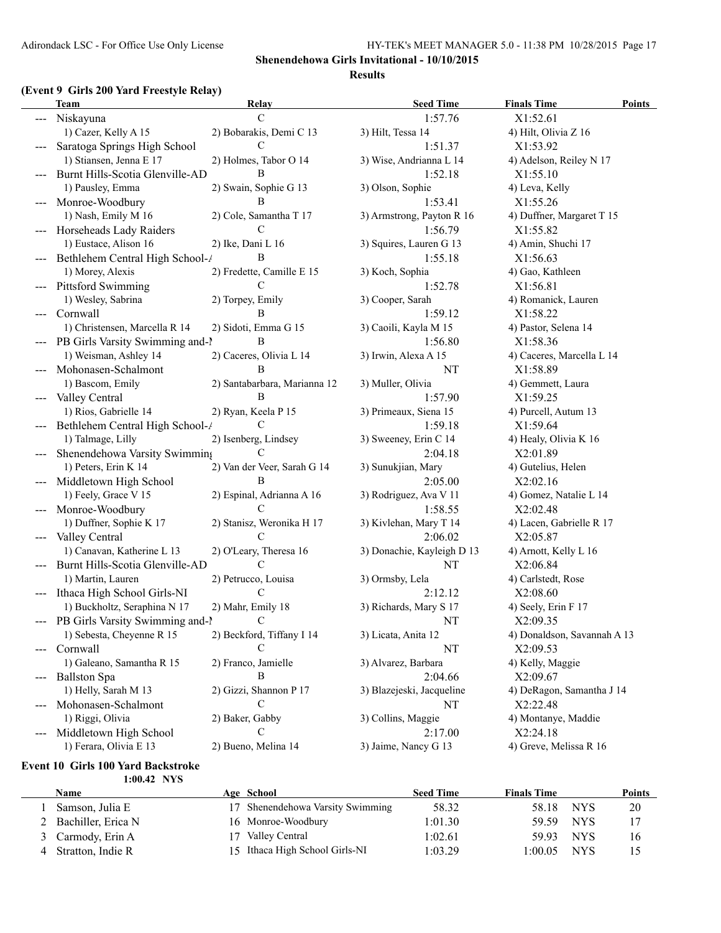### **(Event 9 Girls 200 Yard Freestyle Relay)**

|                     | <b>Team</b>                     | Relay                        | <b>Seed Time</b>           | <b>Finals Time</b><br><b>Points</b> |
|---------------------|---------------------------------|------------------------------|----------------------------|-------------------------------------|
|                     | Niskayuna                       | $\mathcal{C}$                | 1:57.76                    | X1:52.61                            |
|                     | 1) Cazer, Kelly A 15            | 2) Bobarakis, Demi C 13      | 3) Hilt, Tessa 14          | 4) Hilt, Olivia Z 16                |
|                     | Saratoga Springs High School    | C                            | 1:51.37                    | X1:53.92                            |
|                     | 1) Stiansen, Jenna E 17         | 2) Holmes, Tabor O 14        | 3) Wise, Andrianna L 14    | 4) Adelson, Reiley N 17             |
|                     | Burnt Hills-Scotia Glenville-AD | B                            | 1:52.18                    | X1:55.10                            |
|                     | 1) Pausley, Emma                | 2) Swain, Sophie G 13        | 3) Olson, Sophie           | 4) Leva, Kelly                      |
|                     | Monroe-Woodbury                 | B                            | 1:53.41                    | X1:55.26                            |
|                     | 1) Nash, Emily M 16             | 2) Cole, Samantha T 17       | 3) Armstrong, Payton R 16  | 4) Duffner, Margaret T 15           |
|                     | Horseheads Lady Raiders         | C                            | 1:56.79                    | X1:55.82                            |
|                     | 1) Eustace, Alison 16           | 2) Ike, Dani L 16            | 3) Squires, Lauren G 13    | 4) Amin, Shuchi 17                  |
|                     | Bethlehem Central High School-/ | B                            | 1:55.18                    | X1:56.63                            |
|                     | 1) Morey, Alexis                | 2) Fredette, Camille E 15    | 3) Koch, Sophia            | 4) Gao, Kathleen                    |
|                     | <b>Pittsford Swimming</b>       | C                            | 1:52.78                    | X1:56.81                            |
|                     | 1) Wesley, Sabrina              | 2) Torpey, Emily             | 3) Cooper, Sarah           | 4) Romanick, Lauren                 |
| $\qquad \qquad - -$ | Cornwall                        | B                            | 1:59.12                    | X1:58.22                            |
|                     | 1) Christensen, Marcella R 14   | 2) Sidoti, Emma G 15         | 3) Caoili, Kayla M 15      | 4) Pastor, Selena 14                |
|                     | PB Girls Varsity Swimming and-1 | B                            | 1:56.80                    | X1:58.36                            |
|                     | 1) Weisman, Ashley 14           | 2) Caceres, Olivia L 14      | 3) Irwin, Alexa A 15       | 4) Caceres, Marcella L 14           |
|                     | Mohonasen-Schalmont             | B                            | NT                         | X1:58.89                            |
|                     | 1) Bascom, Emily                | 2) Santabarbara, Marianna 12 | 3) Muller, Olivia          | 4) Gemmett, Laura                   |
| $\qquad \qquad - -$ | Valley Central                  | B                            | 1:57.90                    | X1:59.25                            |
|                     | 1) Rios, Gabrielle 14           | 2) Ryan, Keela P 15          | 3) Primeaux, Siena 15      | 4) Purcell, Autum 13                |
| $---$               | Bethlehem Central High School-/ | C                            | 1:59.18                    | X1:59.64                            |
|                     | 1) Talmage, Lilly               | 2) Isenberg, Lindsey         | 3) Sweeney, Erin C 14      | 4) Healy, Olivia K 16               |
|                     | Shenendehowa Varsity Swimming   | C                            | 2:04.18                    | X2:01.89                            |
|                     | 1) Peters, Erin K 14            | 2) Van der Veer, Sarah G 14  | 3) Sunukjian, Mary         | 4) Gutelius, Helen                  |
| $\qquad \qquad - -$ | Middletown High School          | B                            | 2:05.00                    | X2:02.16                            |
|                     | 1) Feely, Grace V 15            | 2) Espinal, Adrianna A 16    | 3) Rodriguez, Ava V 11     | 4) Gomez, Natalie L 14              |
|                     | Monroe-Woodbury                 | C                            | 1:58.55                    | X2:02.48                            |
|                     | 1) Duffner, Sophie K 17         | 2) Stanisz, Weronika H 17    | 3) Kivlehan, Mary T 14     | 4) Lacen, Gabrielle R 17            |
|                     | Valley Central                  | C                            | 2:06.02                    | X2:05.87                            |
|                     | 1) Canavan, Katherine L 13      | 2) O'Leary, Theresa 16       | 3) Donachie, Kayleigh D 13 | 4) Arnott, Kelly L 16               |
|                     | Burnt Hills-Scotia Glenville-AD | $\mathcal{C}$                | NT                         | X2:06.84                            |
|                     | 1) Martin, Lauren               | 2) Petrucco, Louisa          | 3) Ormsby, Lela            | 4) Carlstedt, Rose                  |
|                     | Ithaca High School Girls-NI     | C                            | 2:12.12                    | X2:08.60                            |
|                     | 1) Buckholtz, Seraphina N 17    | 2) Mahr, Emily 18            | 3) Richards, Mary S 17     | 4) Seely, Erin F 17                 |
|                     | PB Girls Varsity Swimming and-1 | $\mathbf C$                  | NT                         | X2:09.35                            |
|                     | 1) Sebesta, Cheyenne R 15       | 2) Beckford, Tiffany I 14    | 3) Licata, Anita 12        | 4) Donaldson, Savannah A 13         |
|                     | Cornwall                        | $\mathcal{C}$                | NT                         | X2:09.53                            |
|                     | 1) Galeano, Samantha R 15       | 2) Franco, Jamielle          | 3) Alvarez, Barbara        | 4) Kelly, Maggie                    |
|                     | <b>Ballston Spa</b>             | B                            | 2:04.66                    | X2:09.67                            |
|                     | 1) Helly, Sarah M 13            | 2) Gizzi, Shannon P 17       | 3) Blazejeski, Jacqueline  | 4) DeRagon, Samantha J 14           |
|                     | Mohonasen-Schalmont             | C                            | NT                         | X2:22.48                            |
|                     | 1) Riggi, Olivia                | 2) Baker, Gabby              | 3) Collins, Maggie         | 4) Montanye, Maddie                 |
|                     | Middletown High School          | C                            | 2:17.00                    | X2:24.18                            |
|                     | 1) Ferara, Olivia E 13          | 2) Bueno, Melina 14          | 3) Jaime, Nancy G 13       | 4) Greve, Melissa R 16              |
|                     |                                 |                              |                            |                                     |

#### **Event 10 Girls 100 Yard Backstroke 1:00.42 NYS**

| Name                 | Age School                       | <b>Seed Time</b> | <b>Finals Time</b> |                  | <b>Points</b> |
|----------------------|----------------------------------|------------------|--------------------|------------------|---------------|
| Samson, Julia E      | 17 Shenendehowa Varsity Swimming | 58.32            | 58.18              | NYS.             | 20            |
| 2 Bachiller, Erica N | 16 Monroe-Woodbury               | 1:01.30          | 59.59              | NYS <sup>.</sup> |               |
| 3 Carmody, Erin A    | 17 Valley Central                | 1:02.61          | 59.93              | NYS <sup>.</sup> | 16            |
| Stratton, Indie R    | 15 Ithaca High School Girls-NI   | 1:03.29          | 1:00.05            | <b>NYS</b>       | 15            |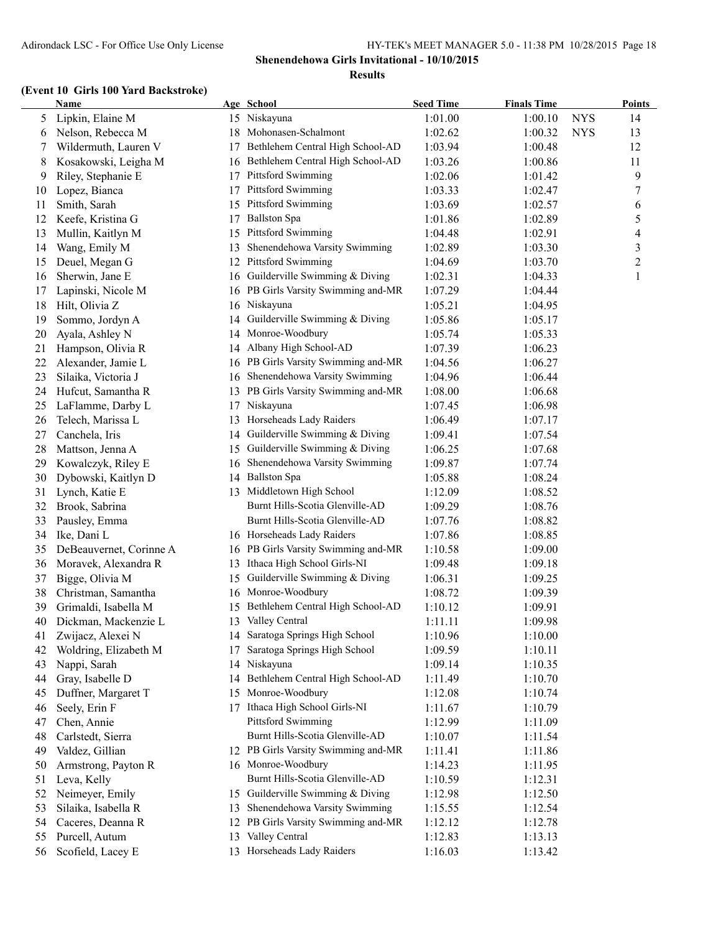### **(Event 10 Girls 100 Yard Backstroke)**

|    | <b>Name</b>             |    | Age School                          | <b>Seed Time</b> | <b>Finals Time</b> |            | <b>Points</b> |
|----|-------------------------|----|-------------------------------------|------------------|--------------------|------------|---------------|
| 5  | Lipkin, Elaine M        |    | 15 Niskayuna                        | 1:01.00          | 1:00.10            | <b>NYS</b> | 14            |
| 6  | Nelson, Rebecca M       |    | 18 Mohonasen-Schalmont              | 1:02.62          | 1:00.32            | <b>NYS</b> | 13            |
| 7  | Wildermuth, Lauren V    | 17 | Bethlehem Central High School-AD    | 1:03.94          | 1:00.48            |            | 12            |
| 8  | Kosakowski, Leigha M    |    | 16 Bethlehem Central High School-AD | 1:03.26          | 1:00.86            |            | 11            |
| 9  | Riley, Stephanie E      | 17 | Pittsford Swimming                  | 1:02.06          | 1:01.42            |            | 9             |
| 10 | Lopez, Bianca           | 17 | Pittsford Swimming                  | 1:03.33          | 1:02.47            |            | 7             |
| 11 | Smith, Sarah            | 15 | Pittsford Swimming                  | 1:03.69          | 1:02.57            |            | 6             |
| 12 | Keefe, Kristina G       | 17 | <b>Ballston Spa</b>                 | 1:01.86          | 1:02.89            |            | 5             |
| 13 | Mullin, Kaitlyn M       | 15 | <b>Pittsford Swimming</b>           | 1:04.48          | 1:02.91            |            | 4             |
| 14 | Wang, Emily M           | 13 | Shenendehowa Varsity Swimming       | 1:02.89          | 1:03.30            |            | 3             |
| 15 | Deuel, Megan G          | 12 | Pittsford Swimming                  | 1:04.69          | 1:03.70            |            | 2             |
| 16 | Sherwin, Jane E         |    | 16 Guilderville Swimming & Diving   | 1:02.31          | 1:04.33            |            | 1             |
| 17 | Lapinski, Nicole M      |    | 16 PB Girls Varsity Swimming and-MR | 1:07.29          | 1:04.44            |            |               |
| 18 | Hilt, Olivia Z          |    | 16 Niskayuna                        | 1:05.21          | 1:04.95            |            |               |
| 19 | Sommo, Jordyn A         | 14 | Guilderville Swimming & Diving      | 1:05.86          | 1:05.17            |            |               |
| 20 | Ayala, Ashley N         | 14 | Monroe-Woodbury                     | 1:05.74          | 1:05.33            |            |               |
| 21 | Hampson, Olivia R       |    | 14 Albany High School-AD            | 1:07.39          | 1:06.23            |            |               |
| 22 | Alexander, Jamie L      |    | 16 PB Girls Varsity Swimming and-MR | 1:04.56          | 1:06.27            |            |               |
| 23 | Silaika, Victoria J     |    | 16 Shenendehowa Varsity Swimming    | 1:04.96          | 1:06.44            |            |               |
| 24 | Hufcut, Samantha R      | 13 | PB Girls Varsity Swimming and-MR    | 1:08.00          | 1:06.68            |            |               |
| 25 | LaFlamme, Darby L       | 17 | Niskayuna                           | 1:07.45          | 1:06.98            |            |               |
| 26 | Telech, Marissa L       | 13 | Horseheads Lady Raiders             | 1:06.49          | 1:07.17            |            |               |
| 27 | Canchela, Iris          | 14 | Guilderville Swimming & Diving      | 1:09.41          | 1:07.54            |            |               |
| 28 | Mattson, Jenna A        | 15 | Guilderville Swimming & Diving      | 1:06.25          | 1:07.68            |            |               |
| 29 | Kowalczyk, Riley E      | 16 | Shenendehowa Varsity Swimming       | 1:09.87          | 1:07.74            |            |               |
| 30 | Dybowski, Kaitlyn D     |    | 14 Ballston Spa                     | 1:05.88          | 1:08.24            |            |               |
| 31 | Lynch, Katie E          |    | 13 Middletown High School           | 1:12.09          | 1:08.52            |            |               |
| 32 | Brook, Sabrina          |    | Burnt Hills-Scotia Glenville-AD     | 1:09.29          | 1:08.76            |            |               |
| 33 | Pausley, Emma           |    | Burnt Hills-Scotia Glenville-AD     | 1:07.76          | 1:08.82            |            |               |
| 34 | Ike, Dani L             |    | 16 Horseheads Lady Raiders          | 1:07.86          | 1:08.85            |            |               |
| 35 | DeBeauvernet, Corinne A |    | 16 PB Girls Varsity Swimming and-MR | 1:10.58          | 1:09.00            |            |               |
| 36 | Moravek, Alexandra R    |    | 13 Ithaca High School Girls-NI      | 1:09.48          | 1:09.18            |            |               |
| 37 | Bigge, Olivia M         | 15 | Guilderville Swimming & Diving      | 1:06.31          | 1:09.25            |            |               |
| 38 | Christman, Samantha     |    | 16 Monroe-Woodbury                  | 1:08.72          | 1:09.39            |            |               |
| 39 | Grimaldi, Isabella M    | 15 | Bethlehem Central High School-AD    | 1:10.12          | 1:09.91            |            |               |
| 40 | Dickman, Mackenzie L    |    | 13 Valley Central                   | 1:11.11          | 1:09.98            |            |               |
| 41 | Zwijacz, Alexei N       |    | 14 Saratoga Springs High School     | 1:10.96          | 1:10.00            |            |               |
| 42 | Woldring, Elizabeth M   | 17 | Saratoga Springs High School        | 1:09.59          | 1:10.11            |            |               |
| 43 | Nappi, Sarah            | 14 | Niskayuna                           | 1:09.14          | 1:10.35            |            |               |
| 44 | Gray, Isabelle D        | 14 | Bethlehem Central High School-AD    | 1:11.49          | 1:10.70            |            |               |
| 45 | Duffner, Margaret T     | 15 | Monroe-Woodbury                     | 1:12.08          | 1:10.74            |            |               |
| 46 | Seely, Erin F           | 17 | Ithaca High School Girls-NI         | 1:11.67          | 1:10.79            |            |               |
| 47 | Chen, Annie             |    | <b>Pittsford Swimming</b>           | 1:12.99          | 1:11.09            |            |               |
| 48 | Carlstedt, Sierra       |    | Burnt Hills-Scotia Glenville-AD     | 1:10.07          | 1:11.54            |            |               |
| 49 | Valdez, Gillian         |    | 12 PB Girls Varsity Swimming and-MR | 1:11.41          | 1:11.86            |            |               |
| 50 | Armstrong, Payton R     |    | 16 Monroe-Woodbury                  | 1:14.23          | 1:11.95            |            |               |
| 51 | Leva, Kelly             |    | Burnt Hills-Scotia Glenville-AD     | 1:10.59          | 1:12.31            |            |               |
| 52 | Neimeyer, Emily         |    | 15 Guilderville Swimming & Diving   | 1:12.98          | 1:12.50            |            |               |
| 53 | Silaika, Isabella R     | 13 | Shenendehowa Varsity Swimming       | 1:15.55          | 1:12.54            |            |               |
| 54 | Caceres, Deanna R       | 12 | PB Girls Varsity Swimming and-MR    | 1:12.12          | 1:12.78            |            |               |
| 55 | Purcell, Autum          | 13 | Valley Central                      | 1:12.83          | 1:13.13            |            |               |
| 56 | Scofield, Lacey E       | 13 | Horseheads Lady Raiders             | 1:16.03          | 1:13.42            |            |               |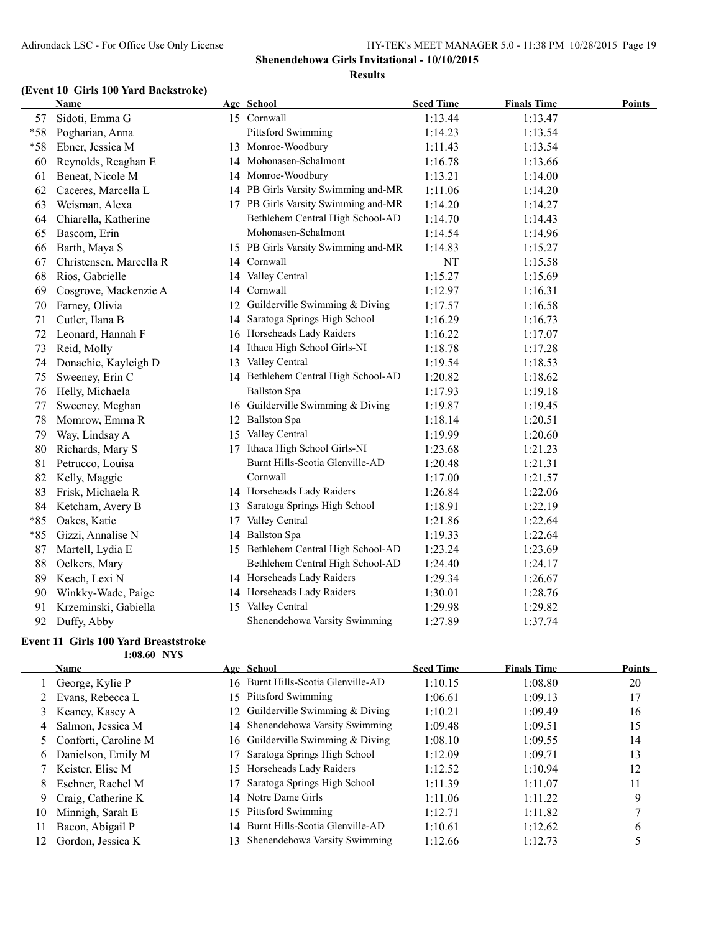### **(Event 10 Girls 100 Yard Backstroke)**

|       | Name                    |    | Age School                          | <b>Seed Time</b> | <b>Finals Time</b> | <b>Points</b> |
|-------|-------------------------|----|-------------------------------------|------------------|--------------------|---------------|
| 57    | Sidoti, Emma G          |    | 15 Cornwall                         | 1:13.44          | 1:13.47            |               |
| $*58$ | Pogharian, Anna         |    | Pittsford Swimming                  | 1:14.23          | 1:13.54            |               |
| $*58$ | Ebner, Jessica M        | 13 | Monroe-Woodbury                     | 1:11.43          | 1:13.54            |               |
| 60    | Reynolds, Reaghan E     | 14 | Mohonasen-Schalmont                 | 1:16.78          | 1:13.66            |               |
| 61    | Beneat, Nicole M        | 14 | Monroe-Woodbury                     | 1:13.21          | 1:14.00            |               |
| 62    | Caceres, Marcella L     | 14 | PB Girls Varsity Swimming and-MR    | 1:11.06          | 1:14.20            |               |
| 63    | Weisman, Alexa          |    | 17 PB Girls Varsity Swimming and-MR | 1:14.20          | 1:14.27            |               |
| 64    | Chiarella, Katherine    |    | Bethlehem Central High School-AD    | 1:14.70          | 1:14.43            |               |
| 65    | Bascom, Erin            |    | Mohonasen-Schalmont                 | 1:14.54          | 1:14.96            |               |
| 66    | Barth, Maya S           |    | 15 PB Girls Varsity Swimming and-MR | 1:14.83          | 1:15.27            |               |
| 67    | Christensen, Marcella R |    | 14 Cornwall                         | NT               | 1:15.58            |               |
| 68    | Rios, Gabrielle         | 14 | Valley Central                      | 1:15.27          | 1:15.69            |               |
| 69    | Cosgrove, Mackenzie A   | 14 | Cornwall                            | 1:12.97          | 1:16.31            |               |
| 70    | Farney, Olivia          | 12 | Guilderville Swimming & Diving      | 1:17.57          | 1:16.58            |               |
| 71    | Cutler, Ilana B         | 14 | Saratoga Springs High School        | 1:16.29          | 1:16.73            |               |
| 72    | Leonard, Hannah F       |    | 16 Horseheads Lady Raiders          | 1:16.22          | 1:17.07            |               |
| 73    | Reid, Molly             | 14 | Ithaca High School Girls-NI         | 1:18.78          | 1:17.28            |               |
| 74    | Donachie, Kayleigh D    | 13 | Valley Central                      | 1:19.54          | 1:18.53            |               |
| 75    | Sweeney, Erin C         |    | 14 Bethlehem Central High School-AD | 1:20.82          | 1:18.62            |               |
| 76    | Helly, Michaela         |    | <b>Ballston Spa</b>                 | 1:17.93          | 1:19.18            |               |
| 77    | Sweeney, Meghan         | 16 | Guilderville Swimming & Diving      | 1:19.87          | 1:19.45            |               |
| 78    | Momrow, Emma R          | 12 | <b>Ballston Spa</b>                 | 1:18.14          | 1:20.51            |               |
| 79    | Way, Lindsay A          | 15 | Valley Central                      | 1:19.99          | 1:20.60            |               |
| 80    | Richards, Mary S        | 17 | Ithaca High School Girls-NI         | 1:23.68          | 1:21.23            |               |
| 81    | Petrucco, Louisa        |    | Burnt Hills-Scotia Glenville-AD     | 1:20.48          | 1:21.31            |               |
| 82    | Kelly, Maggie           |    | Cornwall                            | 1:17.00          | 1:21.57            |               |
| 83    | Frisk, Michaela R       |    | 14 Horseheads Lady Raiders          | 1:26.84          | 1:22.06            |               |
| 84    | Ketcham, Avery B        |    | 13 Saratoga Springs High School     | 1:18.91          | 1:22.19            |               |
| $*85$ | Oakes, Katie            | 17 | Valley Central                      | 1:21.86          | 1:22.64            |               |
| $*85$ | Gizzi, Annalise N       | 14 | <b>Ballston Spa</b>                 | 1:19.33          | 1:22.64            |               |
| 87    | Martell, Lydia E        | 15 | Bethlehem Central High School-AD    | 1:23.24          | 1:23.69            |               |
| 88    | Oelkers, Mary           |    | Bethlehem Central High School-AD    | 1:24.40          | 1:24.17            |               |
| 89    | Keach, Lexi N           |    | 14 Horseheads Lady Raiders          | 1:29.34          | 1:26.67            |               |
| 90    | Winkky-Wade, Paige      |    | 14 Horseheads Lady Raiders          | 1:30.01          | 1:28.76            |               |
| 91    | Krzeminski, Gabiella    |    | 15 Valley Central                   | 1:29.98          | 1:29.82            |               |
| 92    | Duffy, Abby             |    | Shenendehowa Varsity Swimming       | 1:27.89          | 1:37.74            |               |

### **Event 11 Girls 100 Yard Breaststroke 1:08.60 NYS**

|    | <b>Name</b>            |     | Age School                         | <b>Seed Time</b> | <b>Finals Time</b> | <b>Points</b> |
|----|------------------------|-----|------------------------------------|------------------|--------------------|---------------|
|    | George, Kylie P        |     | 16 Burnt Hills-Scotia Glenville-AD | 1:10.15          | 1:08.80            | 20            |
|    | 2 Evans, Rebecca L     |     | 15 Pittsford Swimming              | 1:06.61          | 1:09.13            | 17            |
|    | 3 Keaney, Kasey A      |     | 12 Guilderville Swimming & Diving  | 1:10.21          | 1:09.49            | 16            |
| 4  | Salmon, Jessica M      |     | 14 Shenendehowa Varsity Swimming   | 1:09.48          | 1:09.51            | 15            |
|    | 5 Conforti, Caroline M |     | 16 Guilderville Swimming & Diving  | 1:08.10          | 1:09.55            | 14            |
| 6. | Danielson, Emily M     | 17  | Saratoga Springs High School       | 1:12.09          | 1:09.71            | 13            |
|    | 7 Keister, Elise M     |     | 15 Horseheads Lady Raiders         | 1:12.52          | 1:10.94            | 12            |
| 8  | Eschner, Rachel M      |     | Saratoga Springs High School       | 1:11.39          | 1:11.07            | 11            |
| 9  | Craig, Catherine K     |     | 14 Notre Dame Girls                | 1:11.06          | 1:11.22            | 9             |
| 10 | Minnigh, Sarah E       | 15. | Pittsford Swimming                 | 1:12.71          | 1:11.82            |               |
| 11 | Bacon, Abigail P       |     | 14 Burnt Hills-Scotia Glenville-AD | 1:10.61          | 1:12.62            | 6             |
| 12 | Gordon, Jessica K      | 13. | Shenendehowa Varsity Swimming      | 1:12.66          | 1:12.73            |               |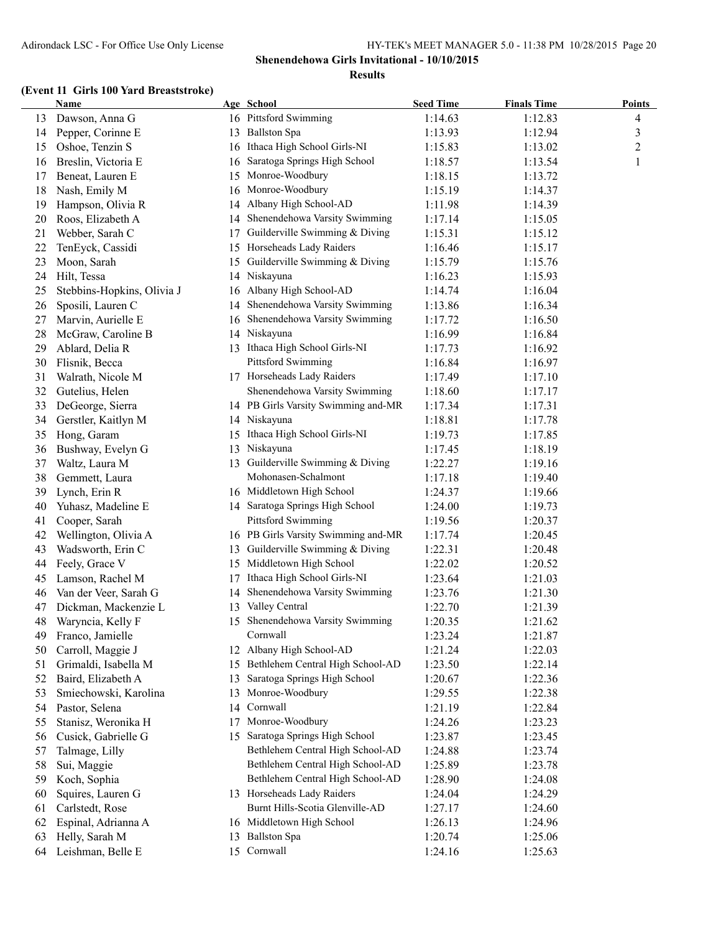### **(Event 11 Girls 100 Yard Breaststroke)**

|    | <b>Name</b>                         |    | Age School                          | <b>Seed Time</b> | <b>Finals Time</b> | <b>Points</b>  |
|----|-------------------------------------|----|-------------------------------------|------------------|--------------------|----------------|
| 13 | Dawson, Anna G                      |    | 16 Pittsford Swimming               | 1:14.63          | 1:12.83            | 4              |
| 14 | Pepper, Corinne E                   |    | 13 Ballston Spa                     | 1:13.93          | 1:12.94            | 3              |
| 15 | Oshoe, Tenzin S                     |    | 16 Ithaca High School Girls-NI      | 1:15.83          | 1:13.02            | $\overline{c}$ |
| 16 | Breslin, Victoria E                 | 16 | Saratoga Springs High School        | 1:18.57          | 1:13.54            | 1              |
| 17 | Beneat, Lauren E                    | 15 | Monroe-Woodbury                     | 1:18.15          | 1:13.72            |                |
| 18 | Nash, Emily M                       | 16 | Monroe-Woodbury                     | 1:15.19          | 1:14.37            |                |
| 19 | Hampson, Olivia R                   | 14 | Albany High School-AD               | 1:11.98          | 1:14.39            |                |
| 20 | Roos, Elizabeth A                   | 14 | Shenendehowa Varsity Swimming       | 1:17.14          | 1:15.05            |                |
| 21 | Webber, Sarah C                     | 17 | Guilderville Swimming & Diving      | 1:15.31          | 1:15.12            |                |
| 22 | TenEyck, Cassidi                    | 15 | Horseheads Lady Raiders             | 1:16.46          | 1:15.17            |                |
| 23 | Moon, Sarah                         | 15 | Guilderville Swimming & Diving      | 1:15.79          | 1:15.76            |                |
| 24 | Hilt, Tessa                         |    | 14 Niskayuna                        | 1:16.23          | 1:15.93            |                |
| 25 | Stebbins-Hopkins, Olivia J          |    | 16 Albany High School-AD            | 1:14.74          | 1:16.04            |                |
| 26 | Sposili, Lauren C                   | 14 | Shenendehowa Varsity Swimming       | 1:13.86          | 1:16.34            |                |
| 27 | Marvin, Aurielle E                  | 16 | Shenendehowa Varsity Swimming       | 1:17.72          | 1:16.50            |                |
| 28 | McGraw, Caroline B                  |    | 14 Niskayuna                        | 1:16.99          | 1:16.84            |                |
| 29 | Ablard, Delia R                     |    | 13 Ithaca High School Girls-NI      | 1:17.73          | 1:16.92            |                |
| 30 | Flisnik, Becca                      |    | <b>Pittsford Swimming</b>           | 1:16.84          | 1:16.97            |                |
| 31 | Walrath, Nicole M                   |    | 17 Horseheads Lady Raiders          | 1:17.49          | 1:17.10            |                |
| 32 | Gutelius, Helen                     |    | Shenendehowa Varsity Swimming       | 1:18.60          | 1:17.17            |                |
| 33 | DeGeorge, Sierra                    |    | 14 PB Girls Varsity Swimming and-MR | 1:17.34          | 1:17.31            |                |
| 34 | Gerstler, Kaitlyn M                 |    | 14 Niskayuna                        | 1:18.81          | 1:17.78            |                |
| 35 | Hong, Garam                         |    | 15 Ithaca High School Girls-NI      | 1:19.73          | 1:17.85            |                |
| 36 | Bushway, Evelyn G                   |    | 13 Niskayuna                        | 1:17.45          | 1:18.19            |                |
| 37 | Waltz, Laura M                      |    | 13 Guilderville Swimming & Diving   | 1:22.27          | 1:19.16            |                |
| 38 | Gemmett, Laura                      |    | Mohonasen-Schalmont                 | 1:17.18          | 1:19.40            |                |
| 39 | Lynch, Erin R                       |    | 16 Middletown High School           | 1:24.37          | 1:19.66            |                |
| 40 | Yuhasz, Madeline E                  |    | 14 Saratoga Springs High School     | 1:24.00          | 1:19.73            |                |
| 41 | Cooper, Sarah                       |    | Pittsford Swimming                  | 1:19.56          | 1:20.37            |                |
| 42 | Wellington, Olivia A                |    | 16 PB Girls Varsity Swimming and-MR | 1:17.74          | 1:20.45            |                |
| 43 |                                     | 13 | Guilderville Swimming & Diving      | 1:22.31          |                    |                |
|    | Wadsworth, Erin C<br>Feely, Grace V | 15 | Middletown High School              | 1:22.02          | 1:20.48<br>1:20.52 |                |
| 44 |                                     |    | Ithaca High School Girls-NI         |                  |                    |                |
| 45 | Lamson, Rachel M                    | 17 | Shenendehowa Varsity Swimming       | 1:23.64          | 1:21.03            |                |
| 46 | Van der Veer, Sarah G               | 14 | 13 Valley Central                   | 1:23.76          | 1:21.30            |                |
| 47 | Dickman, Mackenzie L                |    | 15 Shenendehowa Varsity Swimming    | 1:22.70          | 1:21.39            |                |
| 48 | Waryncia, Kelly F                   |    | Cornwall                            | 1:20.35          | 1:21.62            |                |
| 49 | Franco, Jamielle                    |    | 12 Albany High School-AD            | 1:23.24          | 1:21.87            |                |
| 50 | Carroll, Maggie J                   |    | Bethlehem Central High School-AD    | 1:21.24          | 1:22.03            |                |
| 51 | Grimaldi, Isabella M                | 15 | Saratoga Springs High School        | 1:23.50          | 1:22.14            |                |
| 52 | Baird, Elizabeth A                  | 13 | Monroe-Woodbury                     | 1:20.67          | 1:22.36            |                |
| 53 | Smiechowski, Karolina               | 13 |                                     | 1:29.55          | 1:22.38            |                |
| 54 | Pastor, Selena                      | 14 | Cornwall<br>Monroe-Woodbury         | 1:21.19          | 1:22.84            |                |
| 55 | Stanisz, Weronika H                 | 17 |                                     | 1:24.26          | 1:23.23            |                |
| 56 | Cusick, Gabrielle G                 | 15 | Saratoga Springs High School        | 1:23.87          | 1:23.45            |                |
| 57 | Talmage, Lilly                      |    | Bethlehem Central High School-AD    | 1:24.88          | 1:23.74            |                |
| 58 | Sui, Maggie                         |    | Bethlehem Central High School-AD    | 1:25.89          | 1:23.78            |                |
| 59 | Koch, Sophia                        |    | Bethlehem Central High School-AD    | 1:28.90          | 1:24.08            |                |
| 60 | Squires, Lauren G                   |    | 13 Horseheads Lady Raiders          | 1:24.04          | 1:24.29            |                |
| 61 | Carlstedt, Rose                     |    | Burnt Hills-Scotia Glenville-AD     | 1:27.17          | 1:24.60            |                |
| 62 | Espinal, Adrianna A                 |    | 16 Middletown High School           | 1:26.13          | 1:24.96            |                |
| 63 | Helly, Sarah M                      | 13 | <b>Ballston Spa</b>                 | 1:20.74          | 1:25.06            |                |
| 64 | Leishman, Belle E                   |    | 15 Cornwall                         | 1:24.16          | 1:25.63            |                |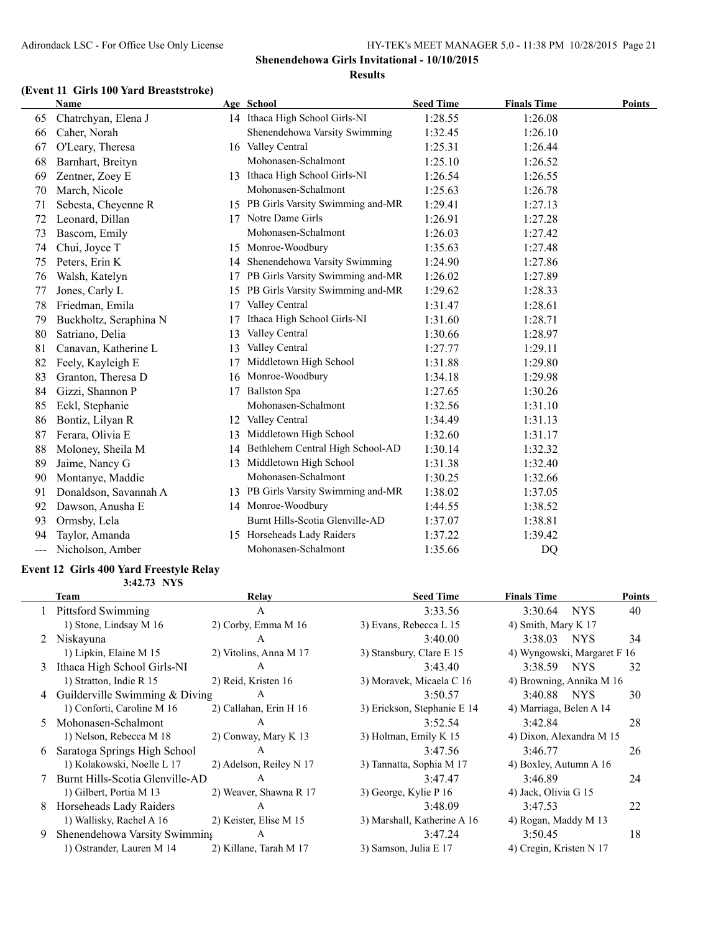### **(Event 11 Girls 100 Yard Breaststroke)**

|                            | <b>Name</b>            |     | Age School                          | <b>Seed Time</b> | <b>Finals Time</b> | <b>Points</b> |
|----------------------------|------------------------|-----|-------------------------------------|------------------|--------------------|---------------|
| 65                         | Chatrchyan, Elena J    |     | 14 Ithaca High School Girls-NI      | 1:28.55          | 1:26.08            |               |
| 66                         | Caher, Norah           |     | Shenendehowa Varsity Swimming       | 1:32.45          | 1:26.10            |               |
| 67                         | O'Leary, Theresa       |     | 16 Valley Central                   | 1:25.31          | 1:26.44            |               |
| 68                         | Barnhart, Breityn      |     | Mohonasen-Schalmont                 | 1:25.10          | 1:26.52            |               |
| 69                         | Zentner, Zoey E        | 13. | Ithaca High School Girls-NI         | 1:26.54          | 1:26.55            |               |
| 70                         | March, Nicole          |     | Mohonasen-Schalmont                 | 1:25.63          | 1:26.78            |               |
| 71                         | Sebesta, Cheyenne R    |     | 15 PB Girls Varsity Swimming and-MR | 1:29.41          | 1:27.13            |               |
| 72                         | Leonard, Dillan        | 17  | Notre Dame Girls                    | 1:26.91          | 1:27.28            |               |
| 73                         | Bascom, Emily          |     | Mohonasen-Schalmont                 | 1:26.03          | 1:27.42            |               |
| 74                         | Chui, Joyce T          | 15  | Monroe-Woodbury                     | 1:35.63          | 1:27.48            |               |
| 75                         | Peters, Erin K         | 14  | Shenendehowa Varsity Swimming       | 1:24.90          | 1:27.86            |               |
| 76                         | Walsh, Katelyn         | 17  | PB Girls Varsity Swimming and-MR    | 1:26.02          | 1:27.89            |               |
| 77                         | Jones, Carly L         | 15  | PB Girls Varsity Swimming and-MR    | 1:29.62          | 1:28.33            |               |
| 78                         | Friedman, Emila        | 17  | Valley Central                      | 1:31.47          | 1:28.61            |               |
| 79                         | Buckholtz, Seraphina N | 17  | Ithaca High School Girls-NI         | 1:31.60          | 1:28.71            |               |
| 80                         | Satriano, Delia        | 13  | Valley Central                      | 1:30.66          | 1:28.97            |               |
| 81                         | Canavan, Katherine L   | 13  | Valley Central                      | 1:27.77          | 1:29.11            |               |
| 82                         | Feely, Kayleigh E      | 17  | Middletown High School              | 1:31.88          | 1:29.80            |               |
| 83                         | Granton, Theresa D     | 16  | Monroe-Woodbury                     | 1:34.18          | 1:29.98            |               |
| 84                         | Gizzi, Shannon P       | 17  | <b>Ballston Spa</b>                 | 1:27.65          | 1:30.26            |               |
| 85                         | Eckl, Stephanie        |     | Mohonasen-Schalmont                 | 1:32.56          | 1:31.10            |               |
| 86                         | Bontiz, Lilyan R       | 12  | Valley Central                      | 1:34.49          | 1:31.13            |               |
| 87                         | Ferara, Olivia E       | 13  | Middletown High School              | 1:32.60          | 1:31.17            |               |
| 88                         | Moloney, Sheila M      | 14  | Bethlehem Central High School-AD    | 1:30.14          | 1:32.32            |               |
| 89                         | Jaime, Nancy G         | 13  | Middletown High School              | 1:31.38          | 1:32.40            |               |
| 90                         | Montanye, Maddie       |     | Mohonasen-Schalmont                 | 1:30.25          | 1:32.66            |               |
| 91                         | Donaldson, Savannah A  |     | 13 PB Girls Varsity Swimming and-MR | 1:38.02          | 1:37.05            |               |
| 92                         | Dawson, Anusha E       |     | 14 Monroe-Woodbury                  | 1:44.55          | 1:38.52            |               |
| 93                         | Ormsby, Lela           |     | Burnt Hills-Scotia Glenville-AD     | 1:37.07          | 1:38.81            |               |
| 94                         | Taylor, Amanda         | 15  | Horseheads Lady Raiders             | 1:37.22          | 1:39.42            |               |
| $\qquad \qquad \text{---}$ | Nicholson, Amber       |     | Mohonasen-Schalmont                 | 1:35.66          | DQ                 |               |
|                            |                        |     |                                     |                  |                    |               |

#### **Event 12 Girls 400 Yard Freestyle Relay 3:42.73 NYS**

|   | Team                             | Relay                   | <b>Seed Time</b>            | <b>Finals Time</b>          |                  | <b>Points</b> |
|---|----------------------------------|-------------------------|-----------------------------|-----------------------------|------------------|---------------|
|   | <b>Pittsford Swimming</b>        | A                       | 3:33.56                     | 3:30.64                     | NYS <sup>.</sup> | 40            |
|   | 1) Stone, Lindsay M 16           | $2)$ Corby, Emma M 16   | 3) Evans, Rebecca L 15      | 4) Smith, Mary K 17         |                  |               |
| 2 | Niskayuna                        | A                       | 3:40.00                     | 3:38.03 NYS                 |                  | 34            |
|   | 1) Lipkin, Elaine M 15           | 2) Vitolins, Anna M 17  | 3) Stansbury, Clare E 15    | 4) Wyngowski, Margaret F 16 |                  |               |
| 3 | Ithaca High School Girls-NI      | A                       | 3:43.40                     | 3:38.59 NYS                 |                  | 32            |
|   | 1) Stratton, Indie R 15          | 2) Reid, Kristen 16     | 3) Moravek, Micaela C 16    | 4) Browning, Annika M 16    |                  |               |
|   | 4 Guilderville Swimming & Diving | A                       | 3:50.57                     | 3:40.88 NYS                 |                  | 30            |
|   | 1) Conforti, Caroline M 16       | 2) Callahan, Erin H 16  | 3) Erickson, Stephanie E 14 | 4) Marriaga, Belen A 14     |                  |               |
|   | Mohonasen-Schalmont              | A                       | 3:52.54                     | 3:42.84                     |                  | 28            |
|   | 1) Nelson, Rebecca M 18          | 2) Conway, Mary K 13    | 3) Holman, Emily K 15       | 4) Dixon, Alexandra M 15    |                  |               |
| 6 | Saratoga Springs High School     | A                       | 3:47.56                     | 3:46.77                     |                  | 26            |
|   | 1) Kolakowski, Noelle L 17       | 2) Adelson, Reiley N 17 | 3) Tannatta, Sophia M 17    | 4) Boxley, Autumn A 16      |                  |               |
|   | Burnt Hills-Scotia Glenville-AD  | A                       | 3:47.47                     | 3:46.89                     |                  | 24            |
|   | 1) Gilbert, Portia M 13          | 2) Weaver, Shawna R 17  | 3) George, Kylie P 16       | 4) Jack, Olivia G 15        |                  |               |
| 8 | Horseheads Lady Raiders          | $\mathsf{A}$            | 3:48.09                     | 3:47.53                     |                  | 22            |
|   | 1) Wallisky, Rachel A 16         | 2) Keister, Elise M 15  | 3) Marshall, Katherine A 16 | 4) Rogan, Maddy M 13        |                  |               |
| 9 | Shenendehowa Varsity Swimming    | A                       | 3:47.24                     | 3:50.45                     |                  | 18            |
|   | 1) Ostrander, Lauren M 14        | 2) Killane, Tarah M 17  | 3) Samson, Julia E 17       | 4) Cregin, Kristen N 17     |                  |               |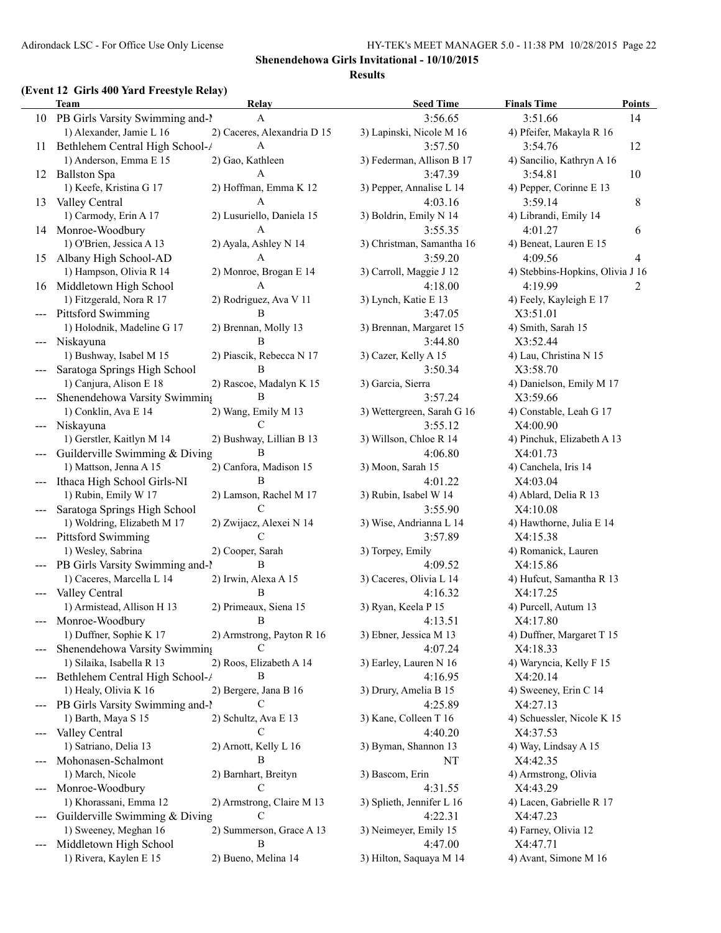# **(Event 12 Girls 400 Yard Freestyle Relay)**

|                                          | $L$ and $L$ and $R$ and $L$ and $L$ and $R$<br>Team | Relay                       | <b>Seed Time</b>           | <b>Finals Time</b>               | <b>Points</b> |
|------------------------------------------|-----------------------------------------------------|-----------------------------|----------------------------|----------------------------------|---------------|
|                                          | 10 PB Girls Varsity Swimming and-1                  | A                           | 3:56.65                    | 3:51.66                          | 14            |
|                                          | 1) Alexander, Jamie L 16                            | 2) Caceres, Alexandria D 15 | 3) Lapinski, Nicole M 16   | 4) Pfeifer, Makayla R 16         |               |
| 11                                       | Bethlehem Central High School-/                     | A                           | 3:57.50                    | 3:54.76                          | 12            |
|                                          | 1) Anderson, Emma E 15                              | 2) Gao, Kathleen            | 3) Federman, Allison B 17  | 4) Sancilio, Kathryn A 16        |               |
|                                          | 12 Ballston Spa                                     | A                           | 3:47.39                    | 3:54.81                          | 10            |
|                                          | 1) Keefe, Kristina G 17                             | 2) Hoffman, Emma K 12       | 3) Pepper, Annalise L 14   | 4) Pepper, Corinne E 13          |               |
| 13                                       | Valley Central                                      | A                           | 4:03.16                    | 3:59.14                          | 8             |
|                                          | 1) Carmody, Erin A 17                               | 2) Lusuriello, Daniela 15   | 3) Boldrin, Emily N 14     | 4) Librandi, Emily 14            |               |
|                                          | 14 Monroe-Woodbury                                  | A                           | 3:55.35                    | 4:01.27                          | 6             |
|                                          | 1) O'Brien, Jessica A 13                            | 2) Ayala, Ashley N 14       | 3) Christman, Samantha 16  | 4) Beneat, Lauren E 15           |               |
| 15                                       | Albany High School-AD                               | A                           | 3:59.20                    | 4:09.56                          | 4             |
|                                          | 1) Hampson, Olivia R 14                             | 2) Monroe, Brogan E 14      | 3) Carroll, Maggie J 12    | 4) Stebbins-Hopkins, Olivia J 16 |               |
| 16                                       | Middletown High School                              | A                           | 4:18.00                    | 4:19.99                          | 2             |
|                                          | 1) Fitzgerald, Nora R 17                            | 2) Rodriguez, Ava V 11      | 3) Lynch, Katie E 13       | 4) Feely, Kayleigh E 17          |               |
|                                          | <b>Pittsford Swimming</b>                           | B                           | 3:47.05                    | X3:51.01                         |               |
|                                          | 1) Holodnik, Madeline G 17                          | 2) Brennan, Molly 13        | 3) Brennan, Margaret 15    | 4) Smith, Sarah 15               |               |
| $---$                                    | Niskayuna                                           | B                           | 3:44.80                    | X3:52.44                         |               |
|                                          | 1) Bushway, Isabel M 15                             | 2) Piascik, Rebecca N 17    | 3) Cazer, Kelly A 15       | 4) Lau, Christina N 15           |               |
|                                          | Saratoga Springs High School                        | B                           | 3:50.34                    | X3:58.70                         |               |
|                                          | 1) Canjura, Alison E 18                             | 2) Rascoe, Madalyn K 15     | 3) Garcia, Sierra          | 4) Danielson, Emily M 17         |               |
|                                          | Shenendehowa Varsity Swimming                       | B                           | 3:57.24                    | X3:59.66                         |               |
|                                          | 1) Conklin, Ava E 14                                | 2) Wang, Emily M 13         | 3) Wettergreen, Sarah G 16 | 4) Constable, Leah G 17          |               |
| $---$                                    | Niskayuna                                           | C                           | 3:55.12                    | X4:00.90                         |               |
|                                          | 1) Gerstler, Kaitlyn M 14                           | 2) Bushway, Lillian B 13    | 3) Willson, Chloe R 14     | 4) Pinchuk, Elizabeth A 13       |               |
|                                          | Guilderville Swimming & Diving                      | B                           | 4:06.80                    | X4:01.73                         |               |
|                                          | 1) Mattson, Jenna A 15                              | 2) Canfora, Madison 15      | 3) Moon, Sarah 15          | 4) Canchela, Iris 14             |               |
|                                          | Ithaca High School Girls-NI                         | B                           | 4:01.22                    | X4:03.04                         |               |
|                                          | 1) Rubin, Emily W 17                                | 2) Lamson, Rachel M 17      | 3) Rubin, Isabel W 14      | 4) Ablard, Delia R 13            |               |
| $---$                                    | Saratoga Springs High School                        | C                           | 3:55.90                    | X4:10.08                         |               |
|                                          | 1) Woldring, Elizabeth M 17                         | 2) Zwijacz, Alexei N 14     | 3) Wise, Andrianna L 14    | 4) Hawthorne, Julia E 14         |               |
| $---$                                    | <b>Pittsford Swimming</b>                           | C                           | 3:57.89                    | X4:15.38                         |               |
|                                          | 1) Wesley, Sabrina                                  | 2) Cooper, Sarah            | 3) Torpey, Emily           | 4) Romanick, Lauren              |               |
| $\hspace{0.05cm} \ldots \hspace{0.05cm}$ | PB Girls Varsity Swimming and-1                     | B                           | 4:09.52                    | X4:15.86                         |               |
|                                          | 1) Caceres, Marcella L 14                           | 2) Irwin, Alexa A 15        | 3) Caceres, Olivia L 14    | 4) Hufcut, Samantha R 13         |               |
| ---                                      | Valley Central                                      | B                           | 4:16.32                    | X4:17.25                         |               |
|                                          | 1) Armistead, Allison H 13                          | 2) Primeaux, Siena 15       | 3) Ryan, Keela P 15        | 4) Purcell, Autum 13             |               |
|                                          | --- Monroe-Woodbury                                 | <sup>B</sup>                | 4:13.51                    | X4:17.80                         |               |
|                                          | 1) Duffner, Sophie K 17                             | 2) Armstrong, Payton R 16   | 3) Ebner, Jessica M 13     | 4) Duffner, Margaret T 15        |               |
|                                          | Shenendehowa Varsity Swimming                       | C                           | 4:07.24                    | X4:18.33                         |               |
|                                          | 1) Silaika, Isabella R 13                           | 2) Roos, Elizabeth A 14     | 3) Earley, Lauren N 16     | 4) Waryncia, Kelly F 15          |               |
|                                          | Bethlehem Central High School-/                     | B                           | 4:16.95                    | X4:20.14                         |               |
|                                          | 1) Healy, Olivia K 16                               | 2) Bergere, Jana B 16       | 3) Drury, Amelia B 15      | 4) Sweeney, Erin C 14            |               |
| $\qquad \qquad - -$                      | PB Girls Varsity Swimming and-1                     | C                           | 4:25.89                    | X4:27.13                         |               |
|                                          | 1) Barth, Maya S 15                                 | 2) Schultz, Ava E 13        | 3) Kane, Colleen T 16      | 4) Schuessler, Nicole K 15       |               |
| ---                                      | Valley Central                                      | C                           | 4:40.20                    | X4:37.53                         |               |
|                                          | 1) Satriano, Delia 13                               | 2) Arnott, Kelly L 16       | 3) Byman, Shannon 13       | 4) Way, Lindsay A 15             |               |
|                                          | Mohonasen-Schalmont                                 | B                           | NT                         | X4:42.35                         |               |
|                                          | 1) March, Nicole                                    | 2) Barnhart, Breityn        | 3) Bascom, Erin            | 4) Armstrong, Olivia             |               |
| $\qquad \qquad - -$                      | Monroe-Woodbury                                     | C                           | 4:31.55                    | X4:43.29                         |               |
|                                          | 1) Khorassani, Emma 12                              | 2) Armstrong, Claire M 13   | 3) Splieth, Jennifer L 16  | 4) Lacen, Gabrielle R 17         |               |
|                                          | Guilderville Swimming & Diving                      | C                           | 4:22.31                    | X4:47.23                         |               |
|                                          | 1) Sweeney, Meghan 16                               | 2) Summerson, Grace A 13    | 3) Neimeyer, Emily 15      | 4) Farney, Olivia 12             |               |
| ---                                      | Middletown High School                              | B                           | 4:47.00                    | X4:47.71                         |               |
|                                          | 1) Rivera, Kaylen E 15                              | 2) Bueno, Melina 14         | 3) Hilton, Saquaya M 14    | 4) Avant, Simone M 16            |               |